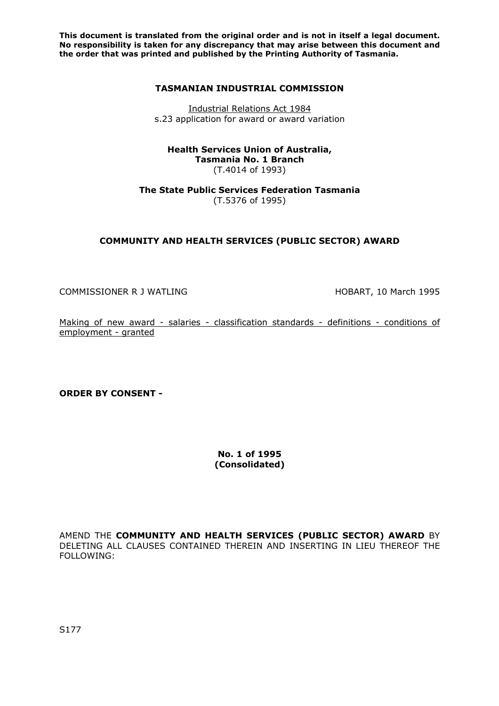### **TASMANIAN INDUSTRIAL COMMISSION**

Industrial Relations Act 1984 s.23 application for award or award variation

#### **Health Services Union of Australia, Tasmania No. 1 Branch**  (T.4014 of 1993)

**The State Public Services Federation Tasmania**  (T.5376 of 1995)

# **COMMUNITY AND HEALTH SERVICES (PUBLIC SECTOR) AWARD**

COMMISSIONER R J WATLING **HOBART, 10 March 1995** 

Making of new award - salaries - classification standards - definitions - conditions of employment - granted

**ORDER BY CONSENT -** 

**No. 1 of 1995 (Consolidated)** 

AMEND THE **COMMUNITY AND HEALTH SERVICES (PUBLIC SECTOR) AWARD** BY DELETING ALL CLAUSES CONTAINED THEREIN AND INSERTING IN LIEU THEREOF THE FOLLOWING: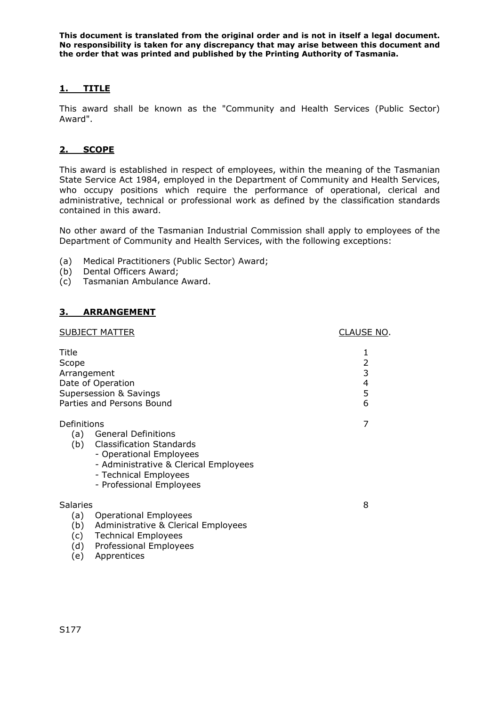# **1. TITLE**

This award shall be known as the "Community and Health Services (Public Sector) Award".

## **2. SCOPE**

This award is established in respect of employees, within the meaning of the Tasmanian State Service Act 1984, employed in the Department of Community and Health Services, who occupy positions which require the performance of operational, clerical and administrative, technical or professional work as defined by the classification standards contained in this award.

No other award of the Tasmanian Industrial Commission shall apply to employees of the Department of Community and Health Services, with the following exceptions:

- (a) Medical Practitioners (Public Sector) Award;
- (b) Dental Officers Award;
- (c) Tasmanian Ambulance Award.

### **3. ARRANGEMENT**

|                                     | <b>SUBJECT MATTER</b>                                                                                                                                                               | CLAUSE NO.                            |
|-------------------------------------|-------------------------------------------------------------------------------------------------------------------------------------------------------------------------------------|---------------------------------------|
| Title<br>Scope<br>Arrangement       | Date of Operation<br>Supersession & Savings<br>Parties and Persons Bound                                                                                                            | $\mathbf{1}$<br>2<br>3<br>4<br>5<br>6 |
| Definitions<br>(b)                  | (a) General Definitions<br><b>Classification Standards</b><br>- Operational Employees<br>- Administrative & Clerical Employees<br>- Technical Employees<br>- Professional Employees | 7                                     |
| <b>Salaries</b><br>(a)<br>(b)<br>d) | <b>Operational Employees</b><br>Administrative & Clerical Employees<br>(c) Technical Employees<br>Professional Employees                                                            | 8                                     |

(e) Apprentices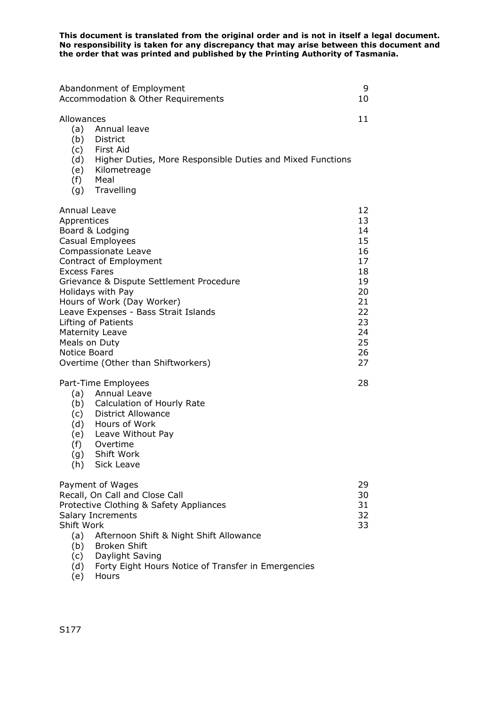| Abandonment of Employment<br>Accommodation & Other Requirements                                                                                                                                                                                                                                                                                                                                           | 9<br>10                                                                                      |
|-----------------------------------------------------------------------------------------------------------------------------------------------------------------------------------------------------------------------------------------------------------------------------------------------------------------------------------------------------------------------------------------------------------|----------------------------------------------------------------------------------------------|
| Allowances<br>(a)<br>Annual leave<br>(b)<br>District<br>(c) First Aid<br>(d) Higher Duties, More Responsible Duties and Mixed Functions<br>(e) Kilometreage<br>(f) Meal<br>(g) Travelling                                                                                                                                                                                                                 | 11                                                                                           |
| Annual Leave<br>Apprentices<br>Board & Lodging<br>Casual Employees<br>Compassionate Leave<br>Contract of Employment<br><b>Excess Fares</b><br>Grievance & Dispute Settlement Procedure<br>Holidays with Pay<br>Hours of Work (Day Worker)<br>Leave Expenses - Bass Strait Islands<br>Lifting of Patients<br><b>Maternity Leave</b><br>Meals on Duty<br>Notice Board<br>Overtime (Other than Shiftworkers) | 12<br>13<br>14<br>15<br>16<br>17<br>18<br>19<br>20<br>21<br>22<br>23<br>24<br>25<br>26<br>27 |
| Part-Time Employees<br>(a) Annual Leave<br>(b) Calculation of Hourly Rate<br><b>District Allowance</b><br>(c)<br>(d) Hours of Work<br>(e) Leave Without Pay<br>(f)<br>Overtime<br>(g)<br>Shift Work<br>Sick Leave<br>(h)                                                                                                                                                                                  | 28                                                                                           |
| Payment of Wages<br>Recall, On Call and Close Call<br>Protective Clothing & Safety Appliances<br>Salary Increments<br>Shift Work<br>(a)<br>Afternoon Shift & Night Shift Allowance<br><b>Broken Shift</b><br>(b)<br>Daylight Saving<br>(c)<br>Forty Eight Hours Notice of Transfer in Emergencies<br>(d)                                                                                                  | 29<br>30<br>31<br>32<br>33                                                                   |

(e) Hours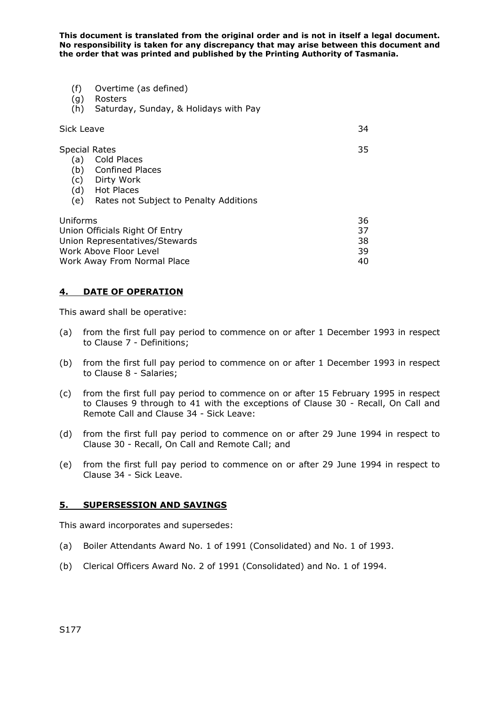- (f) Overtime (as defined)
- (g) Rosters
- (h) Saturday, Sunday, & Holidays with Pay

| Sick Leave                                                                                                                                                                    | 34                         |
|-------------------------------------------------------------------------------------------------------------------------------------------------------------------------------|----------------------------|
| <b>Special Rates</b><br>Cold Places<br>(a)<br><b>Confined Places</b><br>(b)<br>(c)<br>Dirty Work<br><b>Hot Places</b><br>(d)<br>Rates not Subject to Penalty Additions<br>(e) | 35                         |
| Uniforms<br>Union Officials Right Of Entry<br>Union Representatives/Stewards<br>Work Above Floor Level<br>Work Away From Normal Place                                         | 36<br>37<br>38<br>39<br>40 |

## **4. DATE OF OPERATION**

This award shall be operative:

- (a) from the first full pay period to commence on or after 1 December 1993 in respect to Clause 7 - Definitions;
- (b) from the first full pay period to commence on or after 1 December 1993 in respect to Clause 8 - Salaries;
- (c) from the first full pay period to commence on or after 15 February 1995 in respect to Clauses 9 through to 41 with the exceptions of Clause 30 - Recall, On Call and Remote Call and Clause 34 - Sick Leave:
- (d) from the first full pay period to commence on or after 29 June 1994 in respect to Clause 30 - Recall, On Call and Remote Call; and
- (e) from the first full pay period to commence on or after 29 June 1994 in respect to Clause 34 - Sick Leave.

#### **5. SUPERSESSION AND SAVINGS**

This award incorporates and supersedes:

- (a) Boiler Attendants Award No. 1 of 1991 (Consolidated) and No. 1 of 1993.
- (b) Clerical Officers Award No. 2 of 1991 (Consolidated) and No. 1 of 1994.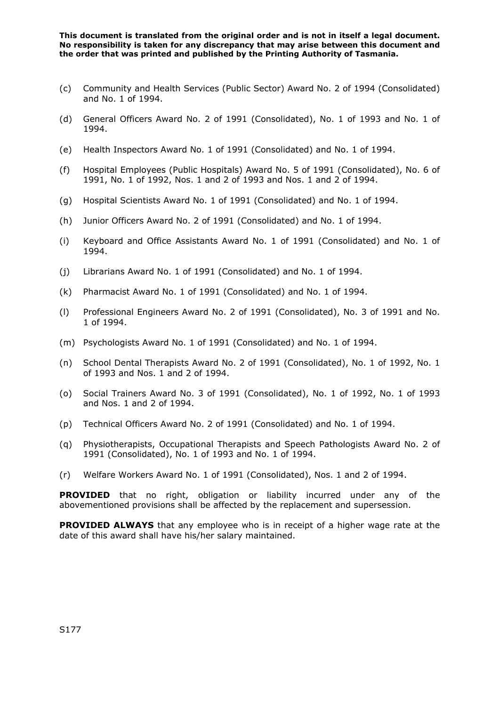- (c) Community and Health Services (Public Sector) Award No. 2 of 1994 (Consolidated) and No. 1 of 1994.
- (d) General Officers Award No. 2 of 1991 (Consolidated), No. 1 of 1993 and No. 1 of 1994.
- (e) Health Inspectors Award No. 1 of 1991 (Consolidated) and No. 1 of 1994.
- (f) Hospital Employees (Public Hospitals) Award No. 5 of 1991 (Consolidated), No. 6 of 1991, No. 1 of 1992, Nos. 1 and 2 of 1993 and Nos. 1 and 2 of 1994.
- (g) Hospital Scientists Award No. 1 of 1991 (Consolidated) and No. 1 of 1994.
- (h) Junior Officers Award No. 2 of 1991 (Consolidated) and No. 1 of 1994.
- (i) Keyboard and Office Assistants Award No. 1 of 1991 (Consolidated) and No. 1 of 1994.
- (j) Librarians Award No. 1 of 1991 (Consolidated) and No. 1 of 1994.
- (k) Pharmacist Award No. 1 of 1991 (Consolidated) and No. 1 of 1994.
- (l) Professional Engineers Award No. 2 of 1991 (Consolidated), No. 3 of 1991 and No. 1 of 1994.
- (m) Psychologists Award No. 1 of 1991 (Consolidated) and No. 1 of 1994.
- (n) School Dental Therapists Award No. 2 of 1991 (Consolidated), No. 1 of 1992, No. 1 of 1993 and Nos. 1 and 2 of 1994.
- (o) Social Trainers Award No. 3 of 1991 (Consolidated), No. 1 of 1992, No. 1 of 1993 and Nos. 1 and 2 of 1994.
- (p) Technical Officers Award No. 2 of 1991 (Consolidated) and No. 1 of 1994.
- (q) Physiotherapists, Occupational Therapists and Speech Pathologists Award No. 2 of 1991 (Consolidated), No. 1 of 1993 and No. 1 of 1994.
- (r) Welfare Workers Award No. 1 of 1991 (Consolidated), Nos. 1 and 2 of 1994.

**PROVIDED** that no right, obligation or liability incurred under any of the abovementioned provisions shall be affected by the replacement and supersession.

**PROVIDED ALWAYS** that any employee who is in receipt of a higher wage rate at the date of this award shall have his/her salary maintained.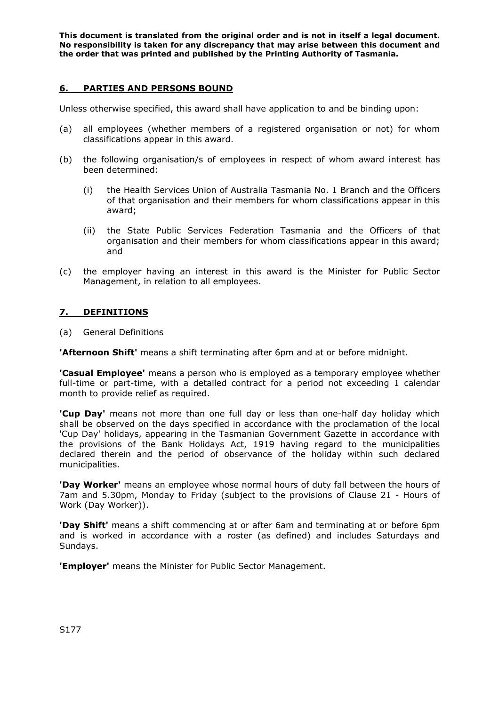## **6. PARTIES AND PERSONS BOUND**

Unless otherwise specified, this award shall have application to and be binding upon:

- (a) all employees (whether members of a registered organisation or not) for whom classifications appear in this award.
- (b) the following organisation/s of employees in respect of whom award interest has been determined:
	- (i) the Health Services Union of Australia Tasmania No. 1 Branch and the Officers of that organisation and their members for whom classifications appear in this award;
	- (ii) the State Public Services Federation Tasmania and the Officers of that organisation and their members for whom classifications appear in this award; and
- (c) the employer having an interest in this award is the Minister for Public Sector Management, in relation to all employees.

## **7. DEFINITIONS**

(a) General Definitions

**'Afternoon Shift'** means a shift terminating after 6pm and at or before midnight.

**'Casual Employee'** means a person who is employed as a temporary employee whether full-time or part-time, with a detailed contract for a period not exceeding 1 calendar month to provide relief as required.

**'Cup Day'** means not more than one full day or less than one-half day holiday which shall be observed on the days specified in accordance with the proclamation of the local 'Cup Day' holidays, appearing in the Tasmanian Government Gazette in accordance with the provisions of the Bank Holidays Act, 1919 having regard to the municipalities declared therein and the period of observance of the holiday within such declared municipalities.

**'Day Worker'** means an employee whose normal hours of duty fall between the hours of 7am and 5.30pm, Monday to Friday (subject to the provisions of Clause 21 - Hours of Work (Day Worker)).

**'Day Shift'** means a shift commencing at or after 6am and terminating at or before 6pm and is worked in accordance with a roster (as defined) and includes Saturdays and Sundays.

**'Employer'** means the Minister for Public Sector Management.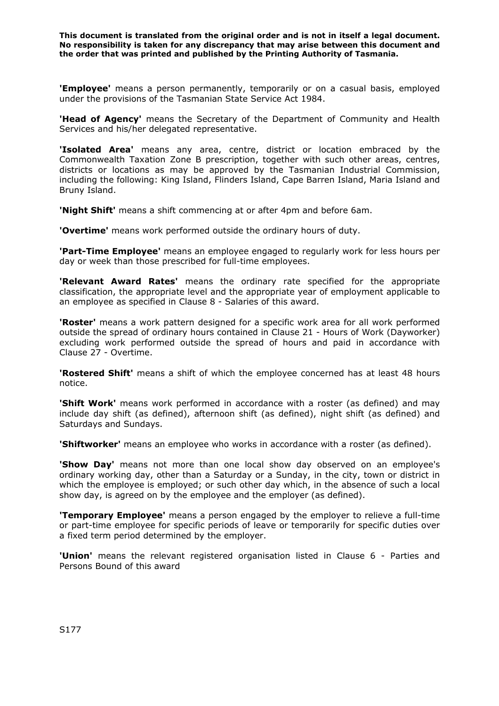**'Employee'** means a person permanently, temporarily or on a casual basis, employed under the provisions of the Tasmanian State Service Act 1984.

**'Head of Agency'** means the Secretary of the Department of Community and Health Services and his/her delegated representative.

**'Isolated Area'** means any area, centre, district or location embraced by the Commonwealth Taxation Zone B prescription, together with such other areas, centres, districts or locations as may be approved by the Tasmanian Industrial Commission, including the following: King Island, Flinders Island, Cape Barren Island, Maria Island and Bruny Island.

**'Night Shift'** means a shift commencing at or after 4pm and before 6am.

**'Overtime'** means work performed outside the ordinary hours of duty.

**'Part-Time Employee'** means an employee engaged to regularly work for less hours per day or week than those prescribed for full-time employees.

**'Relevant Award Rates'** means the ordinary rate specified for the appropriate classification, the appropriate level and the appropriate year of employment applicable to an employee as specified in Clause 8 - Salaries of this award.

**'Roster'** means a work pattern designed for a specific work area for all work performed outside the spread of ordinary hours contained in Clause 21 - Hours of Work (Dayworker) excluding work performed outside the spread of hours and paid in accordance with Clause 27 - Overtime.

**'Rostered Shift'** means a shift of which the employee concerned has at least 48 hours notice.

**'Shift Work'** means work performed in accordance with a roster (as defined) and may include day shift (as defined), afternoon shift (as defined), night shift (as defined) and Saturdays and Sundays.

**'Shiftworker'** means an employee who works in accordance with a roster (as defined).

**'Show Day'** means not more than one local show day observed on an employee's ordinary working day, other than a Saturday or a Sunday, in the city, town or district in which the employee is employed; or such other day which, in the absence of such a local show day, is agreed on by the employee and the employer (as defined).

**'Temporary Employee'** means a person engaged by the employer to relieve a full-time or part-time employee for specific periods of leave or temporarily for specific duties over a fixed term period determined by the employer.

**'Union'** means the relevant registered organisation listed in Clause 6 - Parties and Persons Bound of this award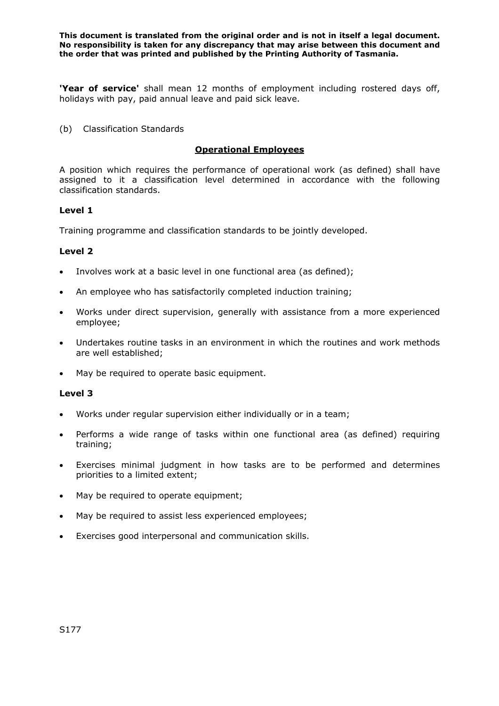**'Year of service'** shall mean 12 months of employment including rostered days off, holidays with pay, paid annual leave and paid sick leave.

(b) Classification Standards

### **Operational Employees**

A position which requires the performance of operational work (as defined) shall have assigned to it a classification level determined in accordance with the following classification standards.

### **Level 1**

Training programme and classification standards to be jointly developed.

### **Level 2**

- Involves work at a basic level in one functional area (as defined);
- An employee who has satisfactorily completed induction training;
- Works under direct supervision, generally with assistance from a more experienced employee;
- Undertakes routine tasks in an environment in which the routines and work methods are well established;
- May be required to operate basic equipment.

#### **Level 3**

- Works under regular supervision either individually or in a team;
- Performs a wide range of tasks within one functional area (as defined) requiring training;
- Exercises minimal judgment in how tasks are to be performed and determines priorities to a limited extent;
- May be required to operate equipment;
- May be required to assist less experienced employees;
- Exercises good interpersonal and communication skills.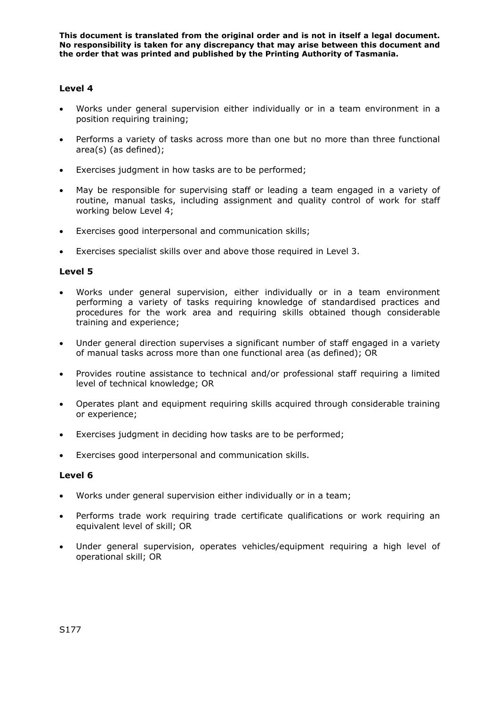## **Level 4**

- Works under general supervision either individually or in a team environment in a position requiring training;
- Performs a variety of tasks across more than one but no more than three functional area(s) (as defined);
- Exercises judgment in how tasks are to be performed;
- May be responsible for supervising staff or leading a team engaged in a variety of routine, manual tasks, including assignment and quality control of work for staff working below Level 4;
- Exercises good interpersonal and communication skills;
- Exercises specialist skills over and above those required in Level 3.

### **Level 5**

- Works under general supervision, either individually or in a team environment performing a variety of tasks requiring knowledge of standardised practices and procedures for the work area and requiring skills obtained though considerable training and experience;
- Under general direction supervises a significant number of staff engaged in a variety of manual tasks across more than one functional area (as defined); OR
- Provides routine assistance to technical and/or professional staff requiring a limited level of technical knowledge; OR
- Operates plant and equipment requiring skills acquired through considerable training or experience;
- Exercises judgment in deciding how tasks are to be performed;
- Exercises good interpersonal and communication skills.

#### **Level 6**

- Works under general supervision either individually or in a team;
- Performs trade work requiring trade certificate qualifications or work requiring an equivalent level of skill; OR
- Under general supervision, operates vehicles/equipment requiring a high level of operational skill; OR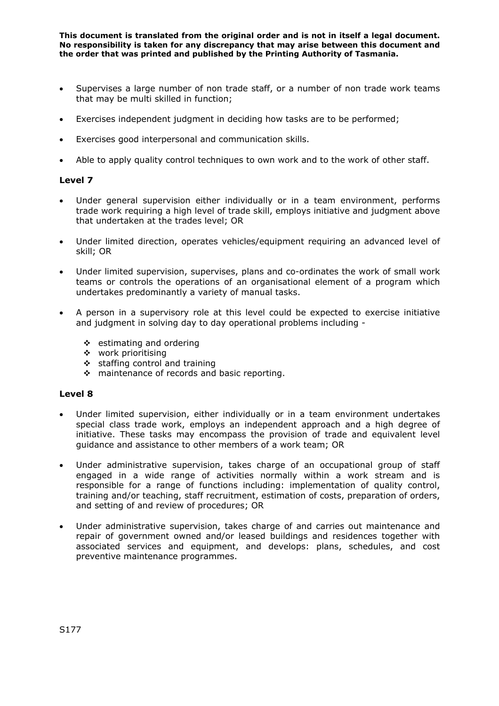- Supervises a large number of non trade staff, or a number of non trade work teams that may be multi skilled in function;
- Exercises independent judgment in deciding how tasks are to be performed;
- Exercises good interpersonal and communication skills.
- Able to apply quality control techniques to own work and to the work of other staff.

#### **Level 7**

- Under general supervision either individually or in a team environment, performs trade work requiring a high level of trade skill, employs initiative and judgment above that undertaken at the trades level; OR
- Under limited direction, operates vehicles/equipment requiring an advanced level of skill; OR
- Under limited supervision, supervises, plans and co-ordinates the work of small work teams or controls the operations of an organisational element of a program which undertakes predominantly a variety of manual tasks.
- A person in a supervisory role at this level could be expected to exercise initiative and judgment in solving day to day operational problems including -
	- $\div$  estimating and ordering
	- work prioritising
	- $\div$  staffing control and training
	- ❖ maintenance of records and basic reporting.

#### **Level 8**

- Under limited supervision, either individually or in a team environment undertakes special class trade work, employs an independent approach and a high degree of initiative. These tasks may encompass the provision of trade and equivalent level guidance and assistance to other members of a work team; OR
- Under administrative supervision, takes charge of an occupational group of staff engaged in a wide range of activities normally within a work stream and is responsible for a range of functions including: implementation of quality control, training and/or teaching, staff recruitment, estimation of costs, preparation of orders, and setting of and review of procedures; OR
- Under administrative supervision, takes charge of and carries out maintenance and repair of government owned and/or leased buildings and residences together with associated services and equipment, and develops: plans, schedules, and cost preventive maintenance programmes.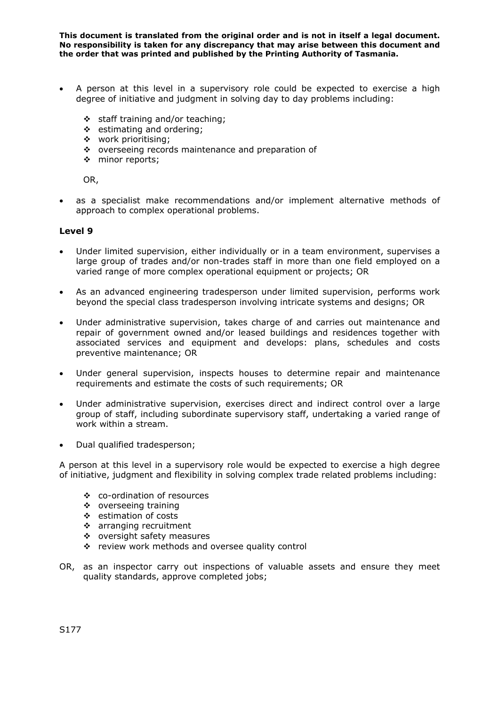- A person at this level in a supervisory role could be expected to exercise a high degree of initiative and judgment in solving day to day problems including:
	- $\div$  staff training and/or teaching;
	- ❖ estimating and ordering:
	- \* work prioritising;
	- \* overseeing records maintenance and preparation of
	- **\*** minor reports;

OR,

• as a specialist make recommendations and/or implement alternative methods of approach to complex operational problems.

### **Level 9**

- Under limited supervision, either individually or in a team environment, supervises a large group of trades and/or non-trades staff in more than one field employed on a varied range of more complex operational equipment or projects; OR
- As an advanced engineering tradesperson under limited supervision, performs work beyond the special class tradesperson involving intricate systems and designs; OR
- Under administrative supervision, takes charge of and carries out maintenance and repair of government owned and/or leased buildings and residences together with associated services and equipment and develops: plans, schedules and costs preventive maintenance; OR
- Under general supervision, inspects houses to determine repair and maintenance requirements and estimate the costs of such requirements; OR
- Under administrative supervision, exercises direct and indirect control over a large group of staff, including subordinate supervisory staff, undertaking a varied range of work within a stream.
- Dual qualified tradesperson;

A person at this level in a supervisory role would be expected to exercise a high degree of initiative, judgment and flexibility in solving complex trade related problems including:

- co-ordination of resources
- overseeing training
- estimation of costs
- arranging recruitment
- oversight safety measures
- \* review work methods and oversee quality control
- OR, as an inspector carry out inspections of valuable assets and ensure they meet quality standards, approve completed jobs;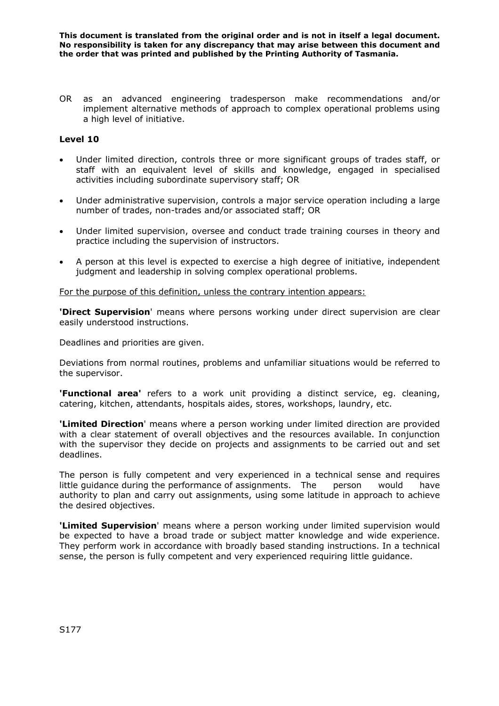OR as an advanced engineering tradesperson make recommendations and/or implement alternative methods of approach to complex operational problems using a high level of initiative.

### **Level 10**

- Under limited direction, controls three or more significant groups of trades staff, or staff with an equivalent level of skills and knowledge, engaged in specialised activities including subordinate supervisory staff; OR
- Under administrative supervision, controls a major service operation including a large number of trades, non-trades and/or associated staff; OR
- Under limited supervision, oversee and conduct trade training courses in theory and practice including the supervision of instructors.
- A person at this level is expected to exercise a high degree of initiative, independent judgment and leadership in solving complex operational problems.

For the purpose of this definition, unless the contrary intention appears:

**'Direct Supervision**' means where persons working under direct supervision are clear easily understood instructions.

Deadlines and priorities are given.

Deviations from normal routines, problems and unfamiliar situations would be referred to the supervisor.

**'Functional area'** refers to a work unit providing a distinct service, eg. cleaning, catering, kitchen, attendants, hospitals aides, stores, workshops, laundry, etc.

**'Limited Direction**' means where a person working under limited direction are provided with a clear statement of overall objectives and the resources available. In conjunction with the supervisor they decide on projects and assignments to be carried out and set deadlines.

The person is fully competent and very experienced in a technical sense and requires little guidance during the performance of assignments. The person would have authority to plan and carry out assignments, using some latitude in approach to achieve the desired objectives.

**'Limited Supervision**' means where a person working under limited supervision would be expected to have a broad trade or subject matter knowledge and wide experience. They perform work in accordance with broadly based standing instructions. In a technical sense, the person is fully competent and very experienced requiring little guidance.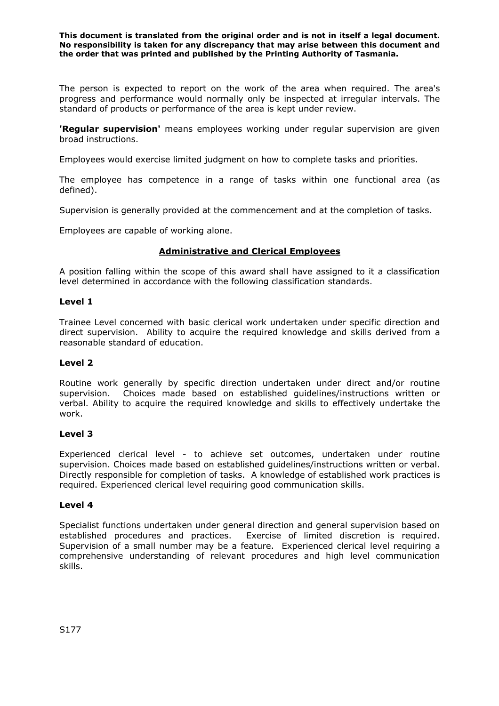The person is expected to report on the work of the area when required. The area's progress and performance would normally only be inspected at irregular intervals. The standard of products or performance of the area is kept under review.

**'Regular supervision'** means employees working under regular supervision are given broad instructions.

Employees would exercise limited judgment on how to complete tasks and priorities.

The employee has competence in a range of tasks within one functional area (as defined).

Supervision is generally provided at the commencement and at the completion of tasks.

Employees are capable of working alone.

### **Administrative and Clerical Employees**

A position falling within the scope of this award shall have assigned to it a classification level determined in accordance with the following classification standards.

#### **Level 1**

Trainee Level concerned with basic clerical work undertaken under specific direction and direct supervision. Ability to acquire the required knowledge and skills derived from a reasonable standard of education.

#### **Level 2**

Routine work generally by specific direction undertaken under direct and/or routine supervision. Choices made based on established guidelines/instructions written or verbal. Ability to acquire the required knowledge and skills to effectively undertake the work.

#### **Level 3**

Experienced clerical level - to achieve set outcomes, undertaken under routine supervision. Choices made based on established guidelines/instructions written or verbal. Directly responsible for completion of tasks. A knowledge of established work practices is required. Experienced clerical level requiring good communication skills.

#### **Level 4**

Specialist functions undertaken under general direction and general supervision based on established procedures and practices. Exercise of limited discretion is required. Supervision of a small number may be a feature. Experienced clerical level requiring a comprehensive understanding of relevant procedures and high level communication skills.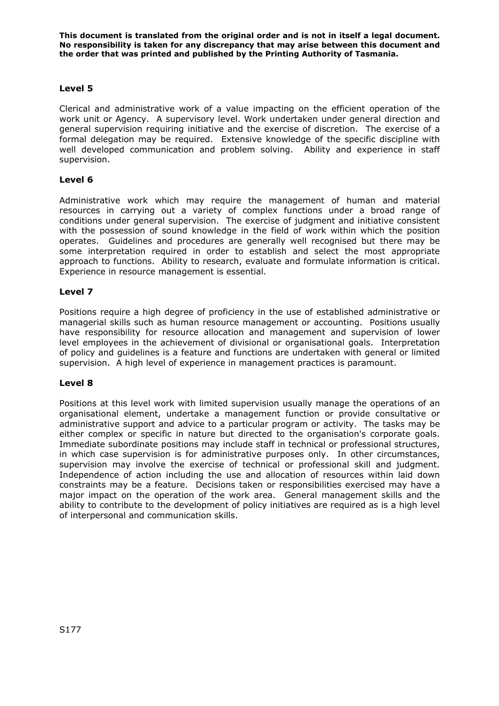## **Level 5**

Clerical and administrative work of a value impacting on the efficient operation of the work unit or Agency. A supervisory level. Work undertaken under general direction and general supervision requiring initiative and the exercise of discretion. The exercise of a formal delegation may be required. Extensive knowledge of the specific discipline with well developed communication and problem solving. Ability and experience in staff supervision.

### **Level 6**

Administrative work which may require the management of human and material resources in carrying out a variety of complex functions under a broad range of conditions under general supervision. The exercise of judgment and initiative consistent with the possession of sound knowledge in the field of work within which the position operates. Guidelines and procedures are generally well recognised but there may be some interpretation required in order to establish and select the most appropriate approach to functions. Ability to research, evaluate and formulate information is critical. Experience in resource management is essential.

#### **Level 7**

Positions require a high degree of proficiency in the use of established administrative or managerial skills such as human resource management or accounting. Positions usually have responsibility for resource allocation and management and supervision of lower level employees in the achievement of divisional or organisational goals. Interpretation of policy and guidelines is a feature and functions are undertaken with general or limited supervision. A high level of experience in management practices is paramount.

#### **Level 8**

Positions at this level work with limited supervision usually manage the operations of an organisational element, undertake a management function or provide consultative or administrative support and advice to a particular program or activity. The tasks may be either complex or specific in nature but directed to the organisation's corporate goals. Immediate subordinate positions may include staff in technical or professional structures, in which case supervision is for administrative purposes only. In other circumstances, supervision may involve the exercise of technical or professional skill and judgment. Independence of action including the use and allocation of resources within laid down constraints may be a feature. Decisions taken or responsibilities exercised may have a major impact on the operation of the work area. General management skills and the ability to contribute to the development of policy initiatives are required as is a high level of interpersonal and communication skills.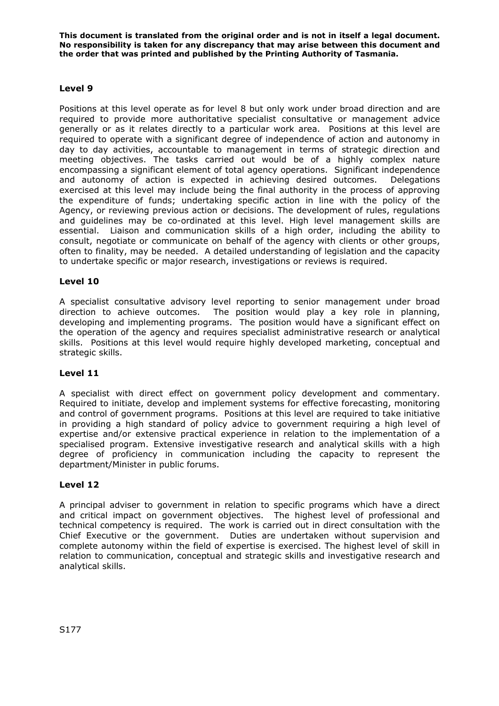## **Level 9**

Positions at this level operate as for level 8 but only work under broad direction and are required to provide more authoritative specialist consultative or management advice generally or as it relates directly to a particular work area. Positions at this level are required to operate with a significant degree of independence of action and autonomy in day to day activities, accountable to management in terms of strategic direction and meeting objectives. The tasks carried out would be of a highly complex nature encompassing a significant element of total agency operations. Significant independence and autonomy of action is expected in achieving desired outcomes. Delegations exercised at this level may include being the final authority in the process of approving the expenditure of funds; undertaking specific action in line with the policy of the Agency, or reviewing previous action or decisions. The development of rules, regulations and guidelines may be co-ordinated at this level. High level management skills are essential. Liaison and communication skills of a high order, including the ability to consult, negotiate or communicate on behalf of the agency with clients or other groups, often to finality, may be needed. A detailed understanding of legislation and the capacity to undertake specific or major research, investigations or reviews is required.

### **Level 10**

A specialist consultative advisory level reporting to senior management under broad direction to achieve outcomes. The position would play a key role in planning, developing and implementing programs. The position would have a significant effect on the operation of the agency and requires specialist administrative research or analytical skills. Positions at this level would require highly developed marketing, conceptual and strategic skills.

#### **Level 11**

A specialist with direct effect on government policy development and commentary. Required to initiate, develop and implement systems for effective forecasting, monitoring and control of government programs. Positions at this level are required to take initiative in providing a high standard of policy advice to government requiring a high level of expertise and/or extensive practical experience in relation to the implementation of a specialised program. Extensive investigative research and analytical skills with a high degree of proficiency in communication including the capacity to represent the department/Minister in public forums.

#### **Level 12**

A principal adviser to government in relation to specific programs which have a direct and critical impact on government objectives. The highest level of professional and technical competency is required. The work is carried out in direct consultation with the Chief Executive or the government. Duties are undertaken without supervision and complete autonomy within the field of expertise is exercised. The highest level of skill in relation to communication, conceptual and strategic skills and investigative research and analytical skills.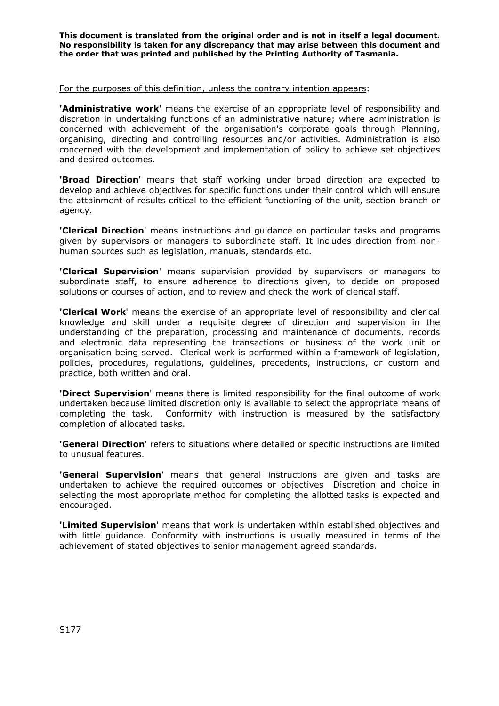#### For the purposes of this definition, unless the contrary intention appears:

**'Administrative work**' means the exercise of an appropriate level of responsibility and discretion in undertaking functions of an administrative nature; where administration is concerned with achievement of the organisation's corporate goals through Planning, organising, directing and controlling resources and/or activities. Administration is also concerned with the development and implementation of policy to achieve set objectives and desired outcomes.

**'Broad Direction**' means that staff working under broad direction are expected to develop and achieve objectives for specific functions under their control which will ensure the attainment of results critical to the efficient functioning of the unit, section branch or agency.

**'Clerical Direction**' means instructions and guidance on particular tasks and programs given by supervisors or managers to subordinate staff. It includes direction from nonhuman sources such as legislation, manuals, standards etc.

**'Clerical Supervision**' means supervision provided by supervisors or managers to subordinate staff, to ensure adherence to directions given, to decide on proposed solutions or courses of action, and to review and check the work of clerical staff.

**'Clerical Work**' means the exercise of an appropriate level of responsibility and clerical knowledge and skill under a requisite degree of direction and supervision in the understanding of the preparation, processing and maintenance of documents, records and electronic data representing the transactions or business of the work unit or organisation being served. Clerical work is performed within a framework of legislation, policies, procedures, regulations, guidelines, precedents, instructions, or custom and practice, both written and oral.

**'Direct Supervision**' means there is limited responsibility for the final outcome of work undertaken because limited discretion only is available to select the appropriate means of completing the task. Conformity with instruction is measured by the satisfactory completion of allocated tasks.

**'General Direction**' refers to situations where detailed or specific instructions are limited to unusual features.

**'General Supervision**' means that general instructions are given and tasks are undertaken to achieve the required outcomes or objectives Discretion and choice in selecting the most appropriate method for completing the allotted tasks is expected and encouraged.

**'Limited Supervision**' means that work is undertaken within established objectives and with little guidance. Conformity with instructions is usually measured in terms of the achievement of stated objectives to senior management agreed standards.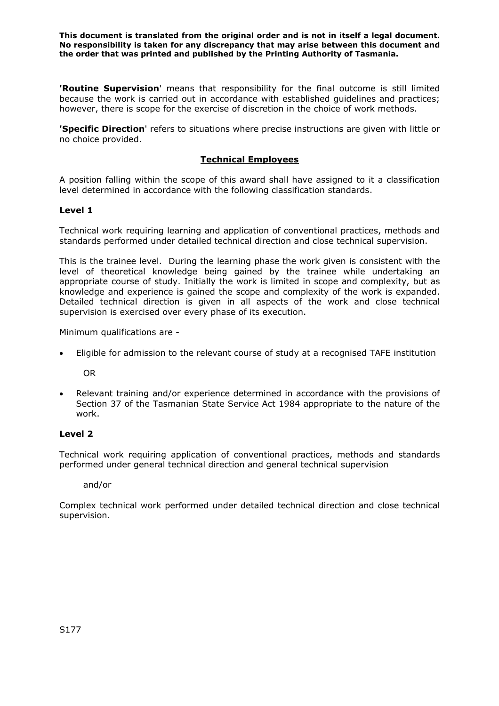**'Routine Supervision**' means that responsibility for the final outcome is still limited because the work is carried out in accordance with established guidelines and practices; however, there is scope for the exercise of discretion in the choice of work methods.

**'Specific Direction**' refers to situations where precise instructions are given with little or no choice provided.

## **Technical Employees**

A position falling within the scope of this award shall have assigned to it a classification level determined in accordance with the following classification standards.

#### **Level 1**

Technical work requiring learning and application of conventional practices, methods and standards performed under detailed technical direction and close technical supervision.

This is the trainee level. During the learning phase the work given is consistent with the level of theoretical knowledge being gained by the trainee while undertaking an appropriate course of study. Initially the work is limited in scope and complexity, but as knowledge and experience is gained the scope and complexity of the work is expanded. Detailed technical direction is given in all aspects of the work and close technical supervision is exercised over every phase of its execution.

Minimum qualifications are -

• Eligible for admission to the relevant course of study at a recognised TAFE institution

OR

• Relevant training and/or experience determined in accordance with the provisions of Section 37 of the Tasmanian State Service Act 1984 appropriate to the nature of the work.

#### **Level 2**

Technical work requiring application of conventional practices, methods and standards performed under general technical direction and general technical supervision

and/or

Complex technical work performed under detailed technical direction and close technical supervision.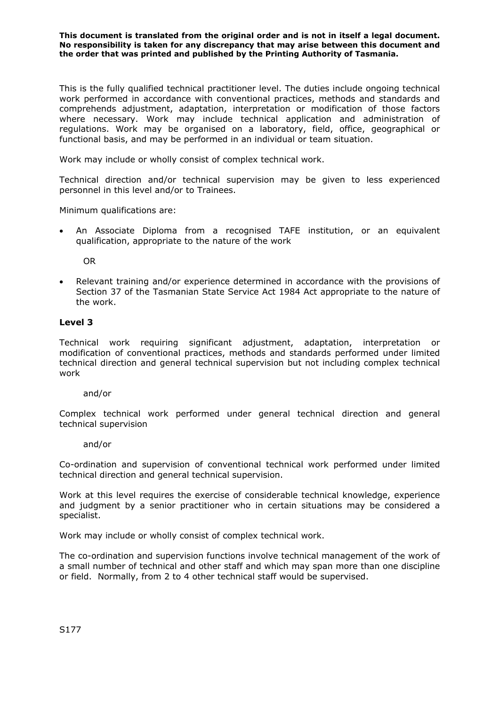This is the fully qualified technical practitioner level. The duties include ongoing technical work performed in accordance with conventional practices, methods and standards and comprehends adjustment, adaptation, interpretation or modification of those factors where necessary. Work may include technical application and administration of regulations. Work may be organised on a laboratory, field, office, geographical or functional basis, and may be performed in an individual or team situation.

Work may include or wholly consist of complex technical work.

Technical direction and/or technical supervision may be given to less experienced personnel in this level and/or to Trainees.

Minimum qualifications are:

• An Associate Diploma from a recognised TAFE institution, or an equivalent qualification, appropriate to the nature of the work

OR

• Relevant training and/or experience determined in accordance with the provisions of Section 37 of the Tasmanian State Service Act 1984 Act appropriate to the nature of the work.

#### **Level 3**

Technical work requiring significant adjustment, adaptation, interpretation or modification of conventional practices, methods and standards performed under limited technical direction and general technical supervision but not including complex technical work

#### and/or

Complex technical work performed under general technical direction and general technical supervision

#### and/or

Co-ordination and supervision of conventional technical work performed under limited technical direction and general technical supervision.

Work at this level requires the exercise of considerable technical knowledge, experience and judgment by a senior practitioner who in certain situations may be considered a specialist.

Work may include or wholly consist of complex technical work.

The co-ordination and supervision functions involve technical management of the work of a small number of technical and other staff and which may span more than one discipline or field. Normally, from 2 to 4 other technical staff would be supervised.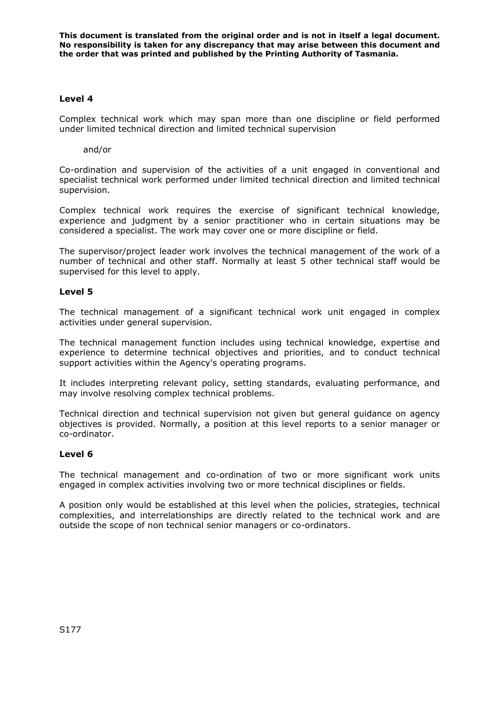#### **Level 4**

Complex technical work which may span more than one discipline or field performed under limited technical direction and limited technical supervision

and/or

Co-ordination and supervision of the activities of a unit engaged in conventional and specialist technical work performed under limited technical direction and limited technical supervision.

Complex technical work requires the exercise of significant technical knowledge, experience and judgment by a senior practitioner who in certain situations may be considered a specialist. The work may cover one or more discipline or field.

The supervisor/project leader work involves the technical management of the work of a number of technical and other staff. Normally at least 5 other technical staff would be supervised for this level to apply.

## **Level 5**

The technical management of a significant technical work unit engaged in complex activities under general supervision.

The technical management function includes using technical knowledge, expertise and experience to determine technical objectives and priorities, and to conduct technical support activities within the Agency's operating programs.

It includes interpreting relevant policy, setting standards, evaluating performance, and may involve resolving complex technical problems.

Technical direction and technical supervision not given but general guidance on agency objectives is provided. Normally, a position at this level reports to a senior manager or co-ordinator.

#### **Level 6**

The technical management and co-ordination of two or more significant work units engaged in complex activities involving two or more technical disciplines or fields.

A position only would be established at this level when the policies, strategies, technical complexities, and interrelationships are directly related to the technical work and are outside the scope of non technical senior managers or co-ordinators.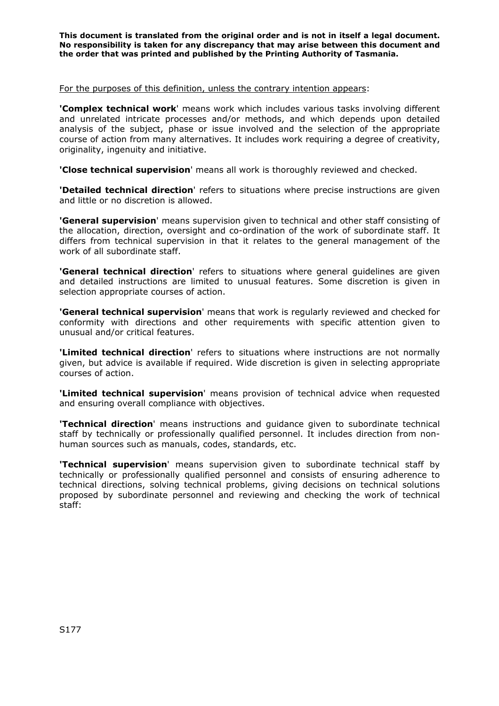#### For the purposes of this definition, unless the contrary intention appears:

**'Complex technical work**' means work which includes various tasks involving different and unrelated intricate processes and/or methods, and which depends upon detailed analysis of the subject, phase or issue involved and the selection of the appropriate course of action from many alternatives. It includes work requiring a degree of creativity, originality, ingenuity and initiative.

**'Close technical supervision**' means all work is thoroughly reviewed and checked.

**'Detailed technical direction**' refers to situations where precise instructions are given and little or no discretion is allowed.

**'General supervision**' means supervision given to technical and other staff consisting of the allocation, direction, oversight and co-ordination of the work of subordinate staff. It differs from technical supervision in that it relates to the general management of the work of all subordinate staff.

**'General technical direction'** refers to situations where general guidelines are given and detailed instructions are limited to unusual features. Some discretion is given in selection appropriate courses of action.

**'General technical supervision**' means that work is regularly reviewed and checked for conformity with directions and other requirements with specific attention given to unusual and/or critical features.

**'Limited technical direction**' refers to situations where instructions are not normally given, but advice is available if required. Wide discretion is given in selecting appropriate courses of action.

**'Limited technical supervision**' means provision of technical advice when requested and ensuring overall compliance with objectives.

**'Technical direction**' means instructions and guidance given to subordinate technical staff by technically or professionally qualified personnel. It includes direction from nonhuman sources such as manuals, codes, standards, etc.

**'Technical supervision**' means supervision given to subordinate technical staff by technically or professionally qualified personnel and consists of ensuring adherence to technical directions, solving technical problems, giving decisions on technical solutions proposed by subordinate personnel and reviewing and checking the work of technical staff: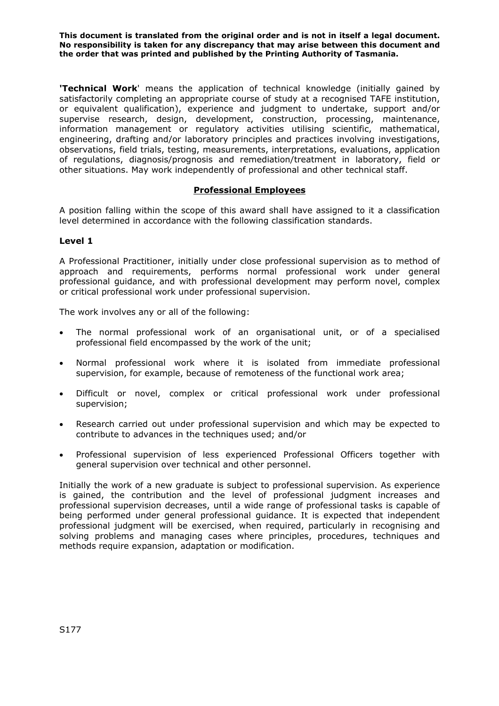**'Technical Work**' means the application of technical knowledge (initially gained by satisfactorily completing an appropriate course of study at a recognised TAFE institution, or equivalent qualification), experience and judgment to undertake, support and/or supervise research, design, development, construction, processing, maintenance, information management or regulatory activities utilising scientific, mathematical, engineering, drafting and/or laboratory principles and practices involving investigations, observations, field trials, testing, measurements, interpretations, evaluations, application of regulations, diagnosis/prognosis and remediation/treatment in laboratory, field or other situations. May work independently of professional and other technical staff.

## **Professional Employees**

A position falling within the scope of this award shall have assigned to it a classification level determined in accordance with the following classification standards.

#### **Level 1**

A Professional Practitioner, initially under close professional supervision as to method of approach and requirements, performs normal professional work under general professional guidance, and with professional development may perform novel, complex or critical professional work under professional supervision.

The work involves any or all of the following:

- The normal professional work of an organisational unit, or of a specialised professional field encompassed by the work of the unit;
- Normal professional work where it is isolated from immediate professional supervision, for example, because of remoteness of the functional work area;
- Difficult or novel, complex or critical professional work under professional supervision;
- Research carried out under professional supervision and which may be expected to contribute to advances in the techniques used; and/or
- Professional supervision of less experienced Professional Officers together with general supervision over technical and other personnel.

Initially the work of a new graduate is subject to professional supervision. As experience is gained, the contribution and the level of professional judgment increases and professional supervision decreases, until a wide range of professional tasks is capable of being performed under general professional guidance. It is expected that independent professional judgment will be exercised, when required, particularly in recognising and solving problems and managing cases where principles, procedures, techniques and methods require expansion, adaptation or modification.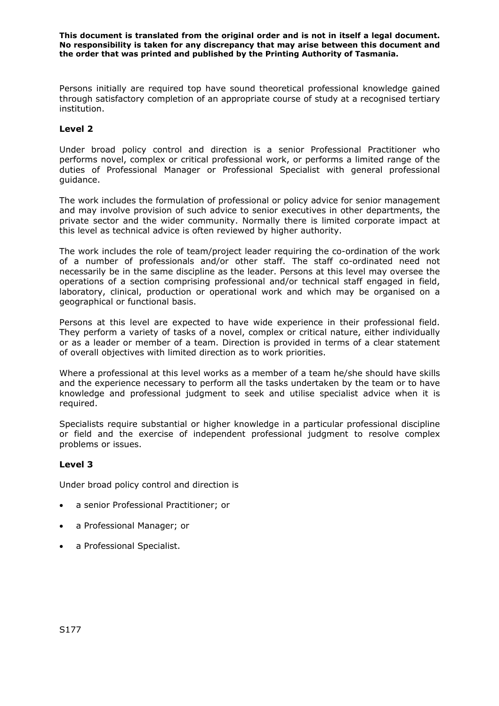Persons initially are required top have sound theoretical professional knowledge gained through satisfactory completion of an appropriate course of study at a recognised tertiary institution.

### **Level 2**

Under broad policy control and direction is a senior Professional Practitioner who performs novel, complex or critical professional work, or performs a limited range of the duties of Professional Manager or Professional Specialist with general professional guidance.

The work includes the formulation of professional or policy advice for senior management and may involve provision of such advice to senior executives in other departments, the private sector and the wider community. Normally there is limited corporate impact at this level as technical advice is often reviewed by higher authority.

The work includes the role of team/project leader requiring the co-ordination of the work of a number of professionals and/or other staff. The staff co-ordinated need not necessarily be in the same discipline as the leader. Persons at this level may oversee the operations of a section comprising professional and/or technical staff engaged in field, laboratory, clinical, production or operational work and which may be organised on a geographical or functional basis.

Persons at this level are expected to have wide experience in their professional field. They perform a variety of tasks of a novel, complex or critical nature, either individually or as a leader or member of a team. Direction is provided in terms of a clear statement of overall objectives with limited direction as to work priorities.

Where a professional at this level works as a member of a team he/she should have skills and the experience necessary to perform all the tasks undertaken by the team or to have knowledge and professional judgment to seek and utilise specialist advice when it is required.

Specialists require substantial or higher knowledge in a particular professional discipline or field and the exercise of independent professional judgment to resolve complex problems or issues.

## **Level 3**

Under broad policy control and direction is

- a senior Professional Practitioner; or
- a Professional Manager; or
- a Professional Specialist.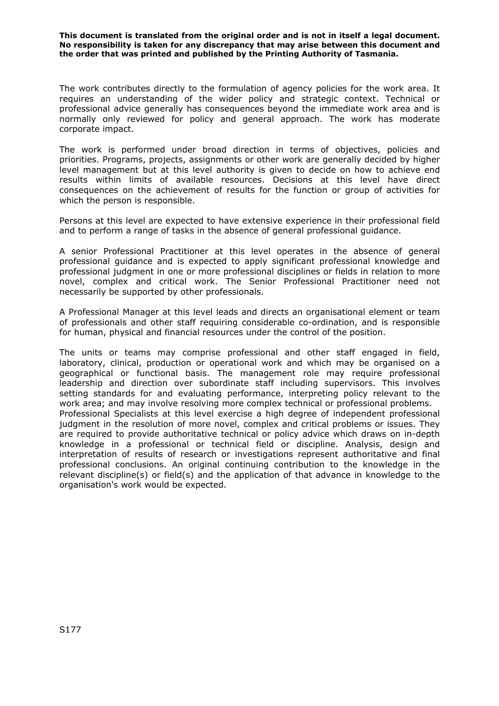The work contributes directly to the formulation of agency policies for the work area. It requires an understanding of the wider policy and strategic context. Technical or professional advice generally has consequences beyond the immediate work area and is normally only reviewed for policy and general approach. The work has moderate corporate impact.

The work is performed under broad direction in terms of objectives, policies and priorities. Programs, projects, assignments or other work are generally decided by higher level management but at this level authority is given to decide on how to achieve end results within limits of available resources. Decisions at this level have direct consequences on the achievement of results for the function or group of activities for which the person is responsible.

Persons at this level are expected to have extensive experience in their professional field and to perform a range of tasks in the absence of general professional guidance.

A senior Professional Practitioner at this level operates in the absence of general professional guidance and is expected to apply significant professional knowledge and professional judgment in one or more professional disciplines or fields in relation to more novel, complex and critical work. The Senior Professional Practitioner need not necessarily be supported by other professionals.

A Professional Manager at this level leads and directs an organisational element or team of professionals and other staff requiring considerable co-ordination, and is responsible for human, physical and financial resources under the control of the position.

The units or teams may comprise professional and other staff engaged in field, laboratory, clinical, production or operational work and which may be organised on a geographical or functional basis. The management role may require professional leadership and direction over subordinate staff including supervisors. This involves setting standards for and evaluating performance, interpreting policy relevant to the work area; and may involve resolving more complex technical or professional problems. Professional Specialists at this level exercise a high degree of independent professional judgment in the resolution of more novel, complex and critical problems or issues. They are required to provide authoritative technical or policy advice which draws on in-depth knowledge in a professional or technical field or discipline. Analysis, design and interpretation of results of research or investigations represent authoritative and final professional conclusions. An original continuing contribution to the knowledge in the relevant discipline(s) or field(s) and the application of that advance in knowledge to the organisation's work would be expected.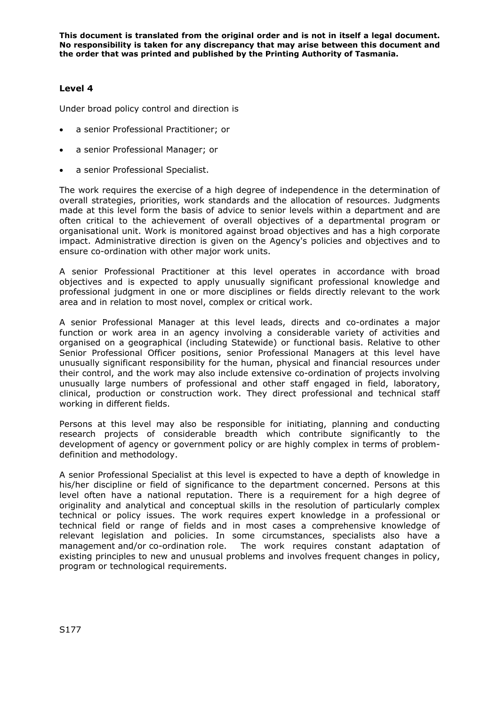## **Level 4**

Under broad policy control and direction is

- a senior Professional Practitioner; or
- a senior Professional Manager; or
- a senior Professional Specialist.

The work requires the exercise of a high degree of independence in the determination of overall strategies, priorities, work standards and the allocation of resources. Judgments made at this level form the basis of advice to senior levels within a department and are often critical to the achievement of overall objectives of a departmental program or organisational unit. Work is monitored against broad objectives and has a high corporate impact. Administrative direction is given on the Agency's policies and objectives and to ensure co-ordination with other major work units.

A senior Professional Practitioner at this level operates in accordance with broad objectives and is expected to apply unusually significant professional knowledge and professional judgment in one or more disciplines or fields directly relevant to the work area and in relation to most novel, complex or critical work.

A senior Professional Manager at this level leads, directs and co-ordinates a major function or work area in an agency involving a considerable variety of activities and organised on a geographical (including Statewide) or functional basis. Relative to other Senior Professional Officer positions, senior Professional Managers at this level have unusually significant responsibility for the human, physical and financial resources under their control, and the work may also include extensive co-ordination of projects involving unusually large numbers of professional and other staff engaged in field, laboratory, clinical, production or construction work. They direct professional and technical staff working in different fields.

Persons at this level may also be responsible for initiating, planning and conducting research projects of considerable breadth which contribute significantly to the development of agency or government policy or are highly complex in terms of problemdefinition and methodology.

A senior Professional Specialist at this level is expected to have a depth of knowledge in his/her discipline or field of significance to the department concerned. Persons at this level often have a national reputation. There is a requirement for a high degree of originality and analytical and conceptual skills in the resolution of particularly complex technical or policy issues. The work requires expert knowledge in a professional or technical field or range of fields and in most cases a comprehensive knowledge of relevant legislation and policies. In some circumstances, specialists also have a management and/or co-ordination role. The work requires constant adaptation of existing principles to new and unusual problems and involves frequent changes in policy, program or technological requirements.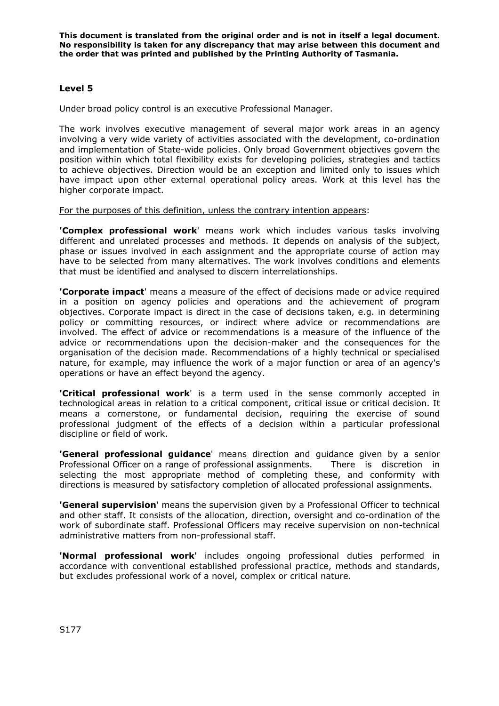## **Level 5**

Under broad policy control is an executive Professional Manager.

The work involves executive management of several major work areas in an agency involving a very wide variety of activities associated with the development, co-ordination and implementation of State-wide policies. Only broad Government objectives govern the position within which total flexibility exists for developing policies, strategies and tactics to achieve objectives. Direction would be an exception and limited only to issues which have impact upon other external operational policy areas. Work at this level has the higher corporate impact.

#### For the purposes of this definition, unless the contrary intention appears:

**'Complex professional work**' means work which includes various tasks involving different and unrelated processes and methods. It depends on analysis of the subject, phase or issues involved in each assignment and the appropriate course of action may have to be selected from many alternatives. The work involves conditions and elements that must be identified and analysed to discern interrelationships.

**'Corporate impact**' means a measure of the effect of decisions made or advice required in a position on agency policies and operations and the achievement of program objectives. Corporate impact is direct in the case of decisions taken, e.g. in determining policy or committing resources, or indirect where advice or recommendations are involved. The effect of advice or recommendations is a measure of the influence of the advice or recommendations upon the decision-maker and the consequences for the organisation of the decision made. Recommendations of a highly technical or specialised nature, for example, may influence the work of a major function or area of an agency's operations or have an effect beyond the agency.

**'Critical professional work**' is a term used in the sense commonly accepted in technological areas in relation to a critical component, critical issue or critical decision. It means a cornerstone, or fundamental decision, requiring the exercise of sound professional judgment of the effects of a decision within a particular professional discipline or field of work.

**'General professional guidance**' means direction and guidance given by a senior Professional Officer on a range of professional assignments. There is discretion in selecting the most appropriate method of completing these, and conformity with directions is measured by satisfactory completion of allocated professional assignments.

**'General supervision**' means the supervision given by a Professional Officer to technical and other staff. It consists of the allocation, direction, oversight and co-ordination of the work of subordinate staff. Professional Officers may receive supervision on non-technical administrative matters from non-professional staff.

**'Normal professional work**' includes ongoing professional duties performed in accordance with conventional established professional practice, methods and standards, but excludes professional work of a novel, complex or critical nature.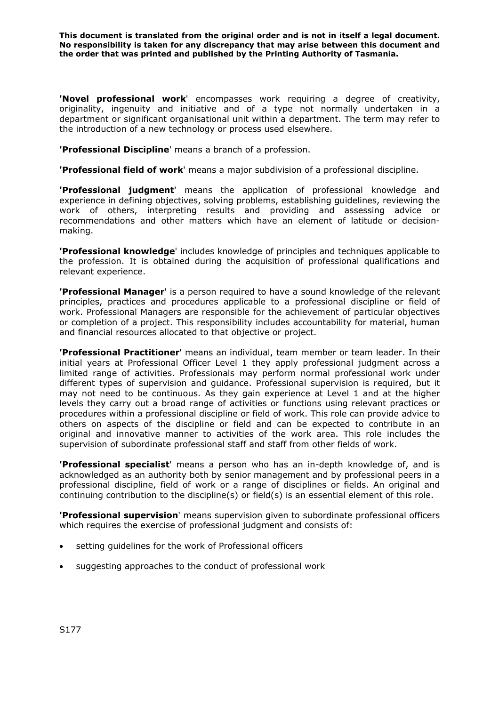**'Novel professional work**' encompasses work requiring a degree of creativity, originality, ingenuity and initiative and of a type not normally undertaken in a department or significant organisational unit within a department. The term may refer to the introduction of a new technology or process used elsewhere.

**'Professional Discipline**' means a branch of a profession.

**'Professional field of work**' means a major subdivision of a professional discipline.

**'Professional judgment**' means the application of professional knowledge and experience in defining objectives, solving problems, establishing guidelines, reviewing the work of others, interpreting results and providing and assessing advice or recommendations and other matters which have an element of latitude or decisionmaking.

**'Professional knowledge**' includes knowledge of principles and techniques applicable to the profession. It is obtained during the acquisition of professional qualifications and relevant experience.

**'Professional Manager**' is a person required to have a sound knowledge of the relevant principles, practices and procedures applicable to a professional discipline or field of work. Professional Managers are responsible for the achievement of particular objectives or completion of a project. This responsibility includes accountability for material, human and financial resources allocated to that objective or project.

**'Professional Practitioner**' means an individual, team member or team leader. In their initial years at Professional Officer Level 1 they apply professional judgment across a limited range of activities. Professionals may perform normal professional work under different types of supervision and guidance. Professional supervision is required, but it may not need to be continuous. As they gain experience at Level 1 and at the higher levels they carry out a broad range of activities or functions using relevant practices or procedures within a professional discipline or field of work. This role can provide advice to others on aspects of the discipline or field and can be expected to contribute in an original and innovative manner to activities of the work area. This role includes the supervision of subordinate professional staff and staff from other fields of work.

**'Professional specialist**' means a person who has an in-depth knowledge of, and is acknowledged as an authority both by senior management and by professional peers in a professional discipline, field of work or a range of disciplines or fields. An original and continuing contribution to the discipline(s) or field(s) is an essential element of this role.

**'Professional supervision**' means supervision given to subordinate professional officers which requires the exercise of professional judgment and consists of:

- setting guidelines for the work of Professional officers
- suggesting approaches to the conduct of professional work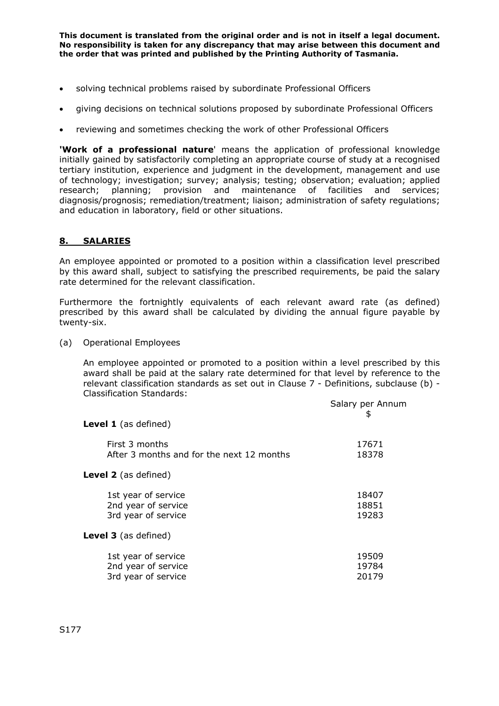- solving technical problems raised by subordinate Professional Officers
- giving decisions on technical solutions proposed by subordinate Professional Officers
- reviewing and sometimes checking the work of other Professional Officers

**'Work of a professional nature**' means the application of professional knowledge initially gained by satisfactorily completing an appropriate course of study at a recognised tertiary institution, experience and judgment in the development, management and use of technology; investigation; survey; analysis; testing; observation; evaluation; applied research; planning; provision and maintenance of facilities and services; diagnosis/prognosis; remediation/treatment; liaison; administration of safety regulations; and education in laboratory, field or other situations.

### **8. SALARIES**

An employee appointed or promoted to a position within a classification level prescribed by this award shall, subject to satisfying the prescribed requirements, be paid the salary rate determined for the relevant classification.

Furthermore the fortnightly equivalents of each relevant award rate (as defined) prescribed by this award shall be calculated by dividing the annual figure payable by twenty-six.

(a) Operational Employees

An employee appointed or promoted to a position within a level prescribed by this award shall be paid at the salary rate determined for that level by reference to the relevant classification standards as set out in Clause 7 - Definitions, subclause (b) - Classification Standards:

| Salary per Annum<br>\$  |
|-------------------------|
|                         |
| 17671<br>18378          |
|                         |
| 18407<br>18851<br>19283 |
|                         |
| 19509<br>19784<br>20179 |
|                         |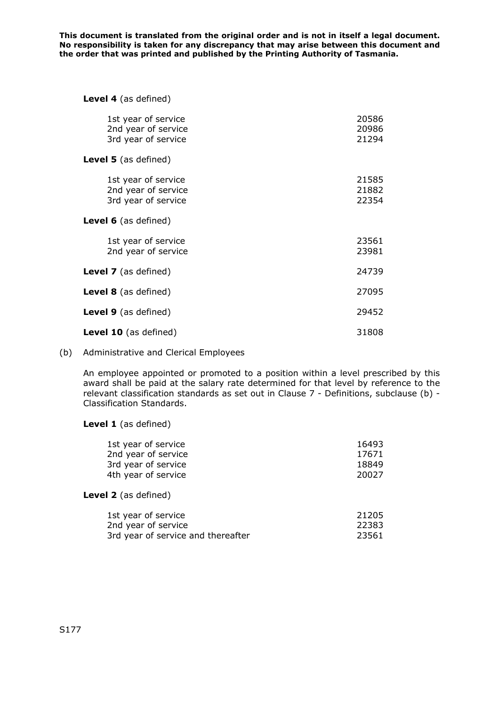#### **Level 4** (as defined)

| 1st year of service<br>2nd year of service<br>3rd year of service | 20586<br>20986<br>21294 |
|-------------------------------------------------------------------|-------------------------|
| Level 5 (as defined)                                              |                         |
| 1st year of service<br>2nd year of service<br>3rd year of service | 21585<br>21882<br>22354 |
| Level 6 (as defined)                                              |                         |
| 1st year of service<br>2nd year of service                        | 23561<br>23981          |
| <b>Level 7</b> (as defined)                                       | 24739                   |
| <b>Level 8</b> (as defined)                                       | 27095                   |
| <b>Level 9</b> (as defined)                                       | 29452                   |
| <b>Level 10</b> (as defined)                                      | 31808                   |

#### (b) Administrative and Clerical Employees

An employee appointed or promoted to a position within a level prescribed by this award shall be paid at the salary rate determined for that level by reference to the relevant classification standards as set out in Clause 7 - Definitions, subclause (b) - Classification Standards.

#### **Level 1** (as defined)

| 1st year of service | 16493 |
|---------------------|-------|
| 2nd year of service | 17671 |
| 3rd year of service | 18849 |
| 4th year of service | 20027 |

#### **Level 2** (as defined)

| 1st year of service                | 21205 |
|------------------------------------|-------|
| 2nd year of service                | 22383 |
| 3rd year of service and thereafter | 23561 |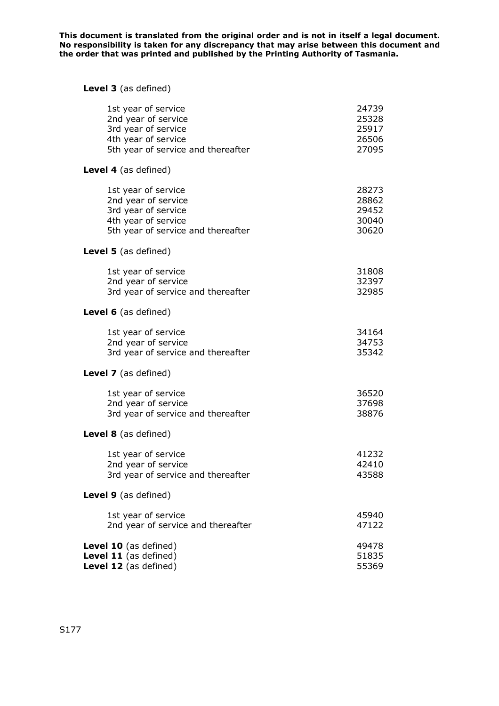# **Level 3** (as defined)

| 1st year of service<br>2nd year of service<br>3rd year of service<br>4th year of service |                                                                                                                                                                                                                                       | 24739<br>25328<br>25917<br>26506<br>27095                                                                                                                                                                                                                              |
|------------------------------------------------------------------------------------------|---------------------------------------------------------------------------------------------------------------------------------------------------------------------------------------------------------------------------------------|------------------------------------------------------------------------------------------------------------------------------------------------------------------------------------------------------------------------------------------------------------------------|
|                                                                                          |                                                                                                                                                                                                                                       |                                                                                                                                                                                                                                                                        |
| 1st year of service<br>2nd year of service<br>3rd year of service<br>4th year of service |                                                                                                                                                                                                                                       | 28273<br>28862<br>29452<br>30040<br>30620                                                                                                                                                                                                                              |
|                                                                                          |                                                                                                                                                                                                                                       |                                                                                                                                                                                                                                                                        |
| 1st year of service<br>2nd year of service                                               |                                                                                                                                                                                                                                       | 31808<br>32397<br>32985                                                                                                                                                                                                                                                |
|                                                                                          |                                                                                                                                                                                                                                       |                                                                                                                                                                                                                                                                        |
| 1st year of service<br>2nd year of service                                               |                                                                                                                                                                                                                                       | 34164<br>34753<br>35342                                                                                                                                                                                                                                                |
|                                                                                          |                                                                                                                                                                                                                                       |                                                                                                                                                                                                                                                                        |
| 1st year of service<br>2nd year of service                                               |                                                                                                                                                                                                                                       | 36520<br>37698<br>38876                                                                                                                                                                                                                                                |
|                                                                                          |                                                                                                                                                                                                                                       |                                                                                                                                                                                                                                                                        |
| 1st year of service<br>2nd year of service                                               |                                                                                                                                                                                                                                       | 41232<br>42410<br>43588                                                                                                                                                                                                                                                |
|                                                                                          |                                                                                                                                                                                                                                       |                                                                                                                                                                                                                                                                        |
| 1st year of service                                                                      |                                                                                                                                                                                                                                       | 45940<br>47122                                                                                                                                                                                                                                                         |
|                                                                                          |                                                                                                                                                                                                                                       | 49478<br>51835<br>55369                                                                                                                                                                                                                                                |
|                                                                                          | Level 4 (as defined)<br><b>Level 5</b> (as defined)<br>Level 6 (as defined)<br><b>Level 7</b> (as defined)<br>Level 8 (as defined)<br>Level 9 (as defined)<br>Level 10 (as defined)<br>Level 11 (as defined)<br>Level 12 (as defined) | 5th year of service and thereafter<br>5th year of service and thereafter<br>3rd year of service and thereafter<br>3rd year of service and thereafter<br>3rd year of service and thereafter<br>3rd year of service and thereafter<br>2nd year of service and thereafter |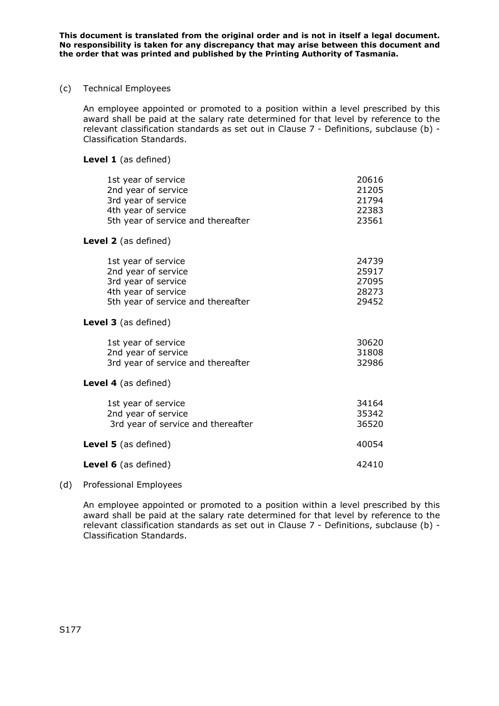#### (c) Technical Employees

An employee appointed or promoted to a position within a level prescribed by this award shall be paid at the salary rate determined for that level by reference to the relevant classification standards as set out in Clause 7 - Definitions, subclause (b) - Classification Standards.

#### **Level 1** (as defined)

| 1st year of service<br>2nd year of service<br>3rd year of service<br>4th year of service<br>5th year of service and thereafter | 20616<br>21205<br>21794<br>22383<br>23561 |
|--------------------------------------------------------------------------------------------------------------------------------|-------------------------------------------|
| Level 2 (as defined)                                                                                                           |                                           |
| 1st year of service<br>2nd year of service<br>3rd year of service<br>4th year of service<br>5th year of service and thereafter | 24739<br>25917<br>27095<br>28273<br>29452 |
| <b>Level 3</b> (as defined)                                                                                                    |                                           |
| 1st year of service<br>2nd year of service<br>3rd year of service and thereafter                                               | 30620<br>31808<br>32986                   |
| Level 4 (as defined)                                                                                                           |                                           |
| 1st year of service<br>2nd year of service<br>3rd year of service and thereafter                                               | 34164<br>35342<br>36520                   |
| <b>Level 5</b> (as defined)                                                                                                    | 40054                                     |
| <b>Level 6</b> (as defined)                                                                                                    | 42410                                     |

#### (d) Professional Employees

An employee appointed or promoted to a position within a level prescribed by this award shall be paid at the salary rate determined for that level by reference to the relevant classification standards as set out in Clause 7 - Definitions, subclause (b) - Classification Standards.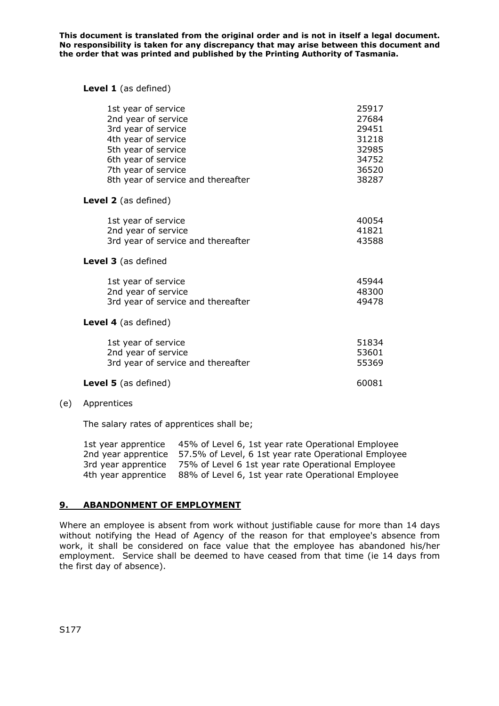#### **Level 1** (as defined)

| 1st year of service                | 25917 |
|------------------------------------|-------|
| 2nd year of service                | 27684 |
| 3rd year of service                | 29451 |
| 4th year of service                | 31218 |
| 5th year of service                | 32985 |
| 6th year of service                | 34752 |
| 7th year of service                | 36520 |
| 8th year of service and thereafter | 38287 |
| <b>Level 2</b> (as defined)        |       |
| 1st year of service                | 40054 |
| 2nd year of service                | 41821 |
| 3rd year of service and thereafter | 43588 |
| Level 3 (as defined                |       |
| 1st year of service                | 45944 |
| 2nd year of service                | 48300 |
| 3rd year of service and thereafter | 49478 |
| <b>Level 4</b> (as defined)        |       |
| 1st year of service                | 51834 |
| 2nd year of service                | 53601 |
| 3rd year of service and thereafter | 55369 |
| <b>Level 5</b> (as defined)        | 60081 |

#### (e) Apprentices

The salary rates of apprentices shall be;

| 1st year apprentice | 45% of Level 6, 1st year rate Operational Employee   |
|---------------------|------------------------------------------------------|
| 2nd year apprentice | 57.5% of Level, 6 1st year rate Operational Employee |
| 3rd year apprentice | 75% of Level 6 1st year rate Operational Employee    |
| 4th year apprentice | 88% of Level 6, 1st year rate Operational Employee   |

#### **9. ABANDONMENT OF EMPLOYMENT**

Where an employee is absent from work without justifiable cause for more than 14 days without notifying the Head of Agency of the reason for that employee's absence from work, it shall be considered on face value that the employee has abandoned his/her employment. Service shall be deemed to have ceased from that time (ie 14 days from the first day of absence).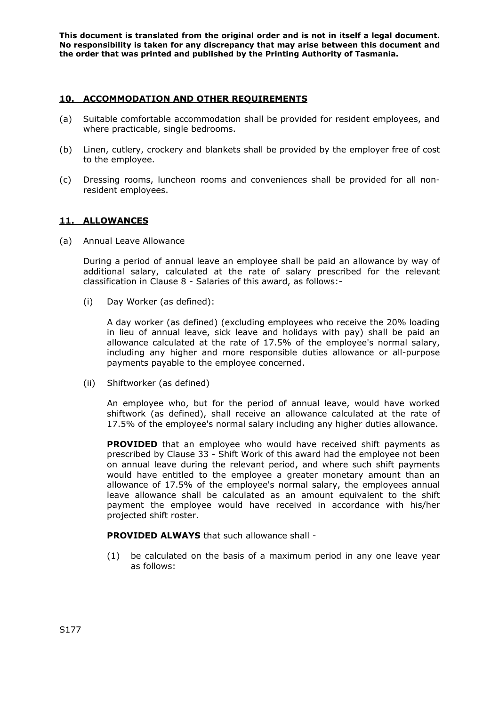## **10. ACCOMMODATION AND OTHER REQUIREMENTS**

- (a) Suitable comfortable accommodation shall be provided for resident employees, and where practicable, single bedrooms.
- (b) Linen, cutlery, crockery and blankets shall be provided by the employer free of cost to the employee.
- (c) Dressing rooms, luncheon rooms and conveniences shall be provided for all nonresident employees.

#### **11. ALLOWANCES**

(a) Annual Leave Allowance

During a period of annual leave an employee shall be paid an allowance by way of additional salary, calculated at the rate of salary prescribed for the relevant classification in Clause 8 - Salaries of this award, as follows:-

(i) Day Worker (as defined):

A day worker (as defined) (excluding employees who receive the 20% loading in lieu of annual leave, sick leave and holidays with pay) shall be paid an allowance calculated at the rate of 17.5% of the employee's normal salary, including any higher and more responsible duties allowance or all-purpose payments payable to the employee concerned.

(ii) Shiftworker (as defined)

An employee who, but for the period of annual leave, would have worked shiftwork (as defined), shall receive an allowance calculated at the rate of 17.5% of the employee's normal salary including any higher duties allowance.

**PROVIDED** that an employee who would have received shift payments as prescribed by Clause 33 - Shift Work of this award had the employee not been on annual leave during the relevant period, and where such shift payments would have entitled to the employee a greater monetary amount than an allowance of 17.5% of the employee's normal salary, the employees annual leave allowance shall be calculated as an amount equivalent to the shift payment the employee would have received in accordance with his/her projected shift roster.

**PROVIDED ALWAYS** that such allowance shall -

(1) be calculated on the basis of a maximum period in any one leave year as follows: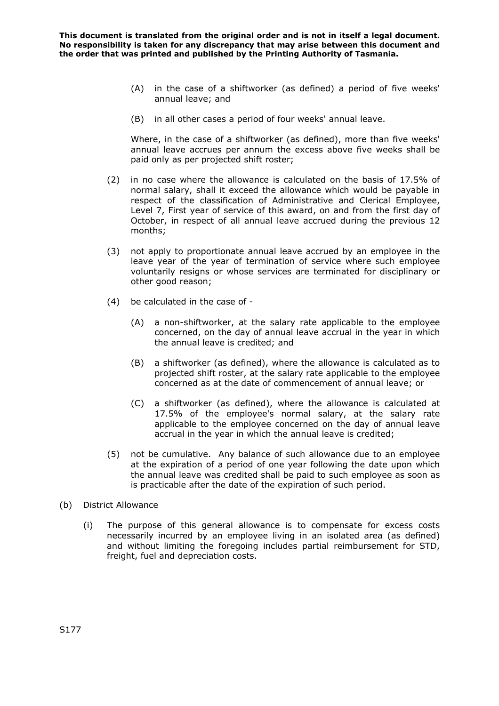- (A) in the case of a shiftworker (as defined) a period of five weeks' annual leave; and
- (B) in all other cases a period of four weeks' annual leave.

Where, in the case of a shiftworker (as defined), more than five weeks' annual leave accrues per annum the excess above five weeks shall be paid only as per projected shift roster;

- (2) in no case where the allowance is calculated on the basis of 17.5% of normal salary, shall it exceed the allowance which would be payable in respect of the classification of Administrative and Clerical Employee, Level 7, First year of service of this award, on and from the first day of October, in respect of all annual leave accrued during the previous 12 months;
- (3) not apply to proportionate annual leave accrued by an employee in the leave year of the year of termination of service where such employee voluntarily resigns or whose services are terminated for disciplinary or other good reason;
- (4) be calculated in the case of
	- (A) a non-shiftworker, at the salary rate applicable to the employee concerned, on the day of annual leave accrual in the year in which the annual leave is credited; and
	- (B) a shiftworker (as defined), where the allowance is calculated as to projected shift roster, at the salary rate applicable to the employee concerned as at the date of commencement of annual leave; or
	- (C) a shiftworker (as defined), where the allowance is calculated at 17.5% of the employee's normal salary, at the salary rate applicable to the employee concerned on the day of annual leave accrual in the year in which the annual leave is credited;
- (5) not be cumulative. Any balance of such allowance due to an employee at the expiration of a period of one year following the date upon which the annual leave was credited shall be paid to such employee as soon as is practicable after the date of the expiration of such period.
- (b) District Allowance
	- (i) The purpose of this general allowance is to compensate for excess costs necessarily incurred by an employee living in an isolated area (as defined) and without limiting the foregoing includes partial reimbursement for STD, freight, fuel and depreciation costs.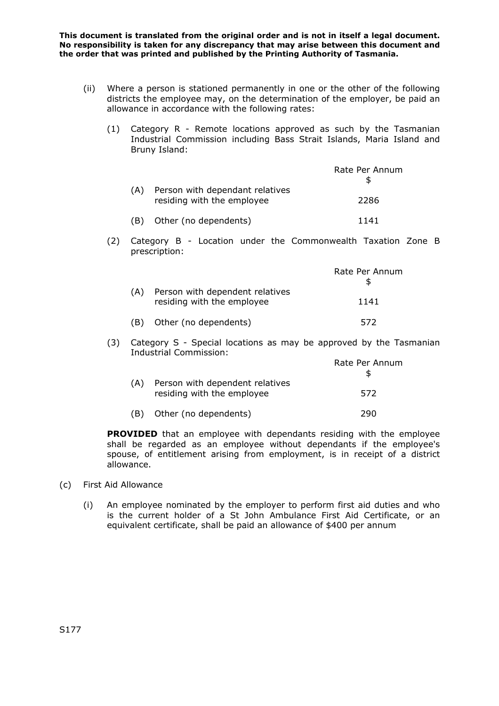- (ii) Where a person is stationed permanently in one or the other of the following districts the employee may, on the determination of the employer, be paid an allowance in accordance with the following rates:
	- (1) Category R Remote locations approved as such by the Tasmanian Industrial Commission including Bass Strait Islands, Maria Island and Bruny Island:

|     |                                                               | Rate Per Annum |
|-----|---------------------------------------------------------------|----------------|
|     | Person with dependant relatives<br>residing with the employee | 2286           |
| (B) | Other (no dependents)                                         | 1141           |

(2) Category B - Location under the Commonwealth Taxation Zone B prescription:

|     |                                                               | Rate Per Annum |
|-----|---------------------------------------------------------------|----------------|
|     | Person with dependent relatives<br>residing with the employee | 1141           |
| ΈB) | Other (no dependents)                                         | 572            |

(3) Category S - Special locations as may be approved by the Tasmanian Industrial Commission:

|     |                                                               | Rate Per Annum |
|-----|---------------------------------------------------------------|----------------|
|     | Person with dependent relatives<br>residing with the employee | 572            |
| (B) | Other (no dependents)                                         | 290.           |

**PROVIDED** that an employee with dependants residing with the employee shall be regarded as an employee without dependants if the employee's spouse, of entitlement arising from employment, is in receipt of a district allowance.

- (c) First Aid Allowance
	- (i) An employee nominated by the employer to perform first aid duties and who is the current holder of a St John Ambulance First Aid Certificate, or an equivalent certificate, shall be paid an allowance of \$400 per annum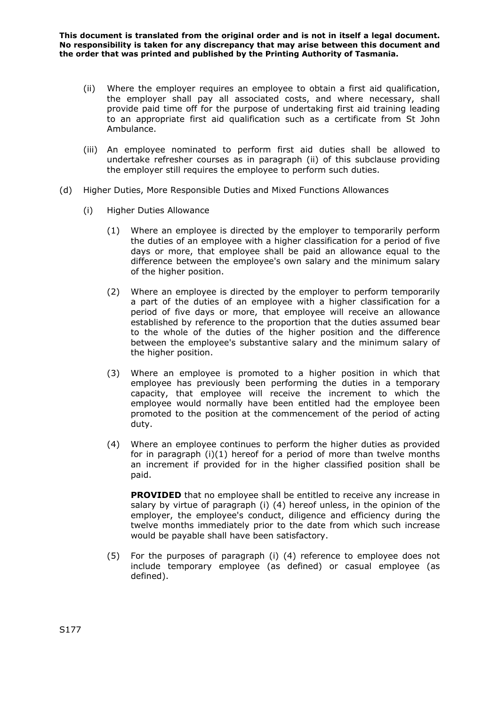- (ii) Where the employer requires an employee to obtain a first aid qualification, the employer shall pay all associated costs, and where necessary, shall provide paid time off for the purpose of undertaking first aid training leading to an appropriate first aid qualification such as a certificate from St John Ambulance.
- (iii) An employee nominated to perform first aid duties shall be allowed to undertake refresher courses as in paragraph (ii) of this subclause providing the employer still requires the employee to perform such duties.
- (d) Higher Duties, More Responsible Duties and Mixed Functions Allowances
	- (i) Higher Duties Allowance
		- (1) Where an employee is directed by the employer to temporarily perform the duties of an employee with a higher classification for a period of five days or more, that employee shall be paid an allowance equal to the difference between the employee's own salary and the minimum salary of the higher position.
		- (2) Where an employee is directed by the employer to perform temporarily a part of the duties of an employee with a higher classification for a period of five days or more, that employee will receive an allowance established by reference to the proportion that the duties assumed bear to the whole of the duties of the higher position and the difference between the employee's substantive salary and the minimum salary of the higher position.
		- (3) Where an employee is promoted to a higher position in which that employee has previously been performing the duties in a temporary capacity, that employee will receive the increment to which the employee would normally have been entitled had the employee been promoted to the position at the commencement of the period of acting duty.
		- (4) Where an employee continues to perform the higher duties as provided for in paragraph (i)(1) hereof for a period of more than twelve months an increment if provided for in the higher classified position shall be paid.

**PROVIDED** that no employee shall be entitled to receive any increase in salary by virtue of paragraph (i) (4) hereof unless, in the opinion of the employer, the employee's conduct, diligence and efficiency during the twelve months immediately prior to the date from which such increase would be payable shall have been satisfactory.

(5) For the purposes of paragraph (i) (4) reference to employee does not include temporary employee (as defined) or casual employee (as defined).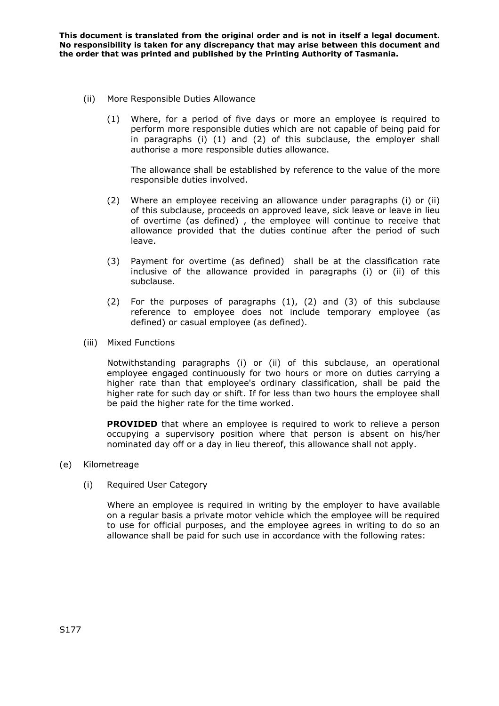- (ii) More Responsible Duties Allowance
	- (1) Where, for a period of five days or more an employee is required to perform more responsible duties which are not capable of being paid for in paragraphs (i) (1) and (2) of this subclause, the employer shall authorise a more responsible duties allowance.

The allowance shall be established by reference to the value of the more responsible duties involved.

- (2) Where an employee receiving an allowance under paragraphs (i) or (ii) of this subclause, proceeds on approved leave, sick leave or leave in lieu of overtime (as defined) , the employee will continue to receive that allowance provided that the duties continue after the period of such leave.
- (3) Payment for overtime (as defined) shall be at the classification rate inclusive of the allowance provided in paragraphs (i) or (ii) of this subclause.
- (2) For the purposes of paragraphs (1), (2) and (3) of this subclause reference to employee does not include temporary employee (as defined) or casual employee (as defined).
- (iii) Mixed Functions

Notwithstanding paragraphs (i) or (ii) of this subclause, an operational employee engaged continuously for two hours or more on duties carrying a higher rate than that employee's ordinary classification, shall be paid the higher rate for such day or shift. If for less than two hours the employee shall be paid the higher rate for the time worked.

**PROVIDED** that where an employee is required to work to relieve a person occupying a supervisory position where that person is absent on his/her nominated day off or a day in lieu thereof, this allowance shall not apply.

### (e) Kilometreage

(i) Required User Category

Where an employee is required in writing by the employer to have available on a regular basis a private motor vehicle which the employee will be required to use for official purposes, and the employee agrees in writing to do so an allowance shall be paid for such use in accordance with the following rates: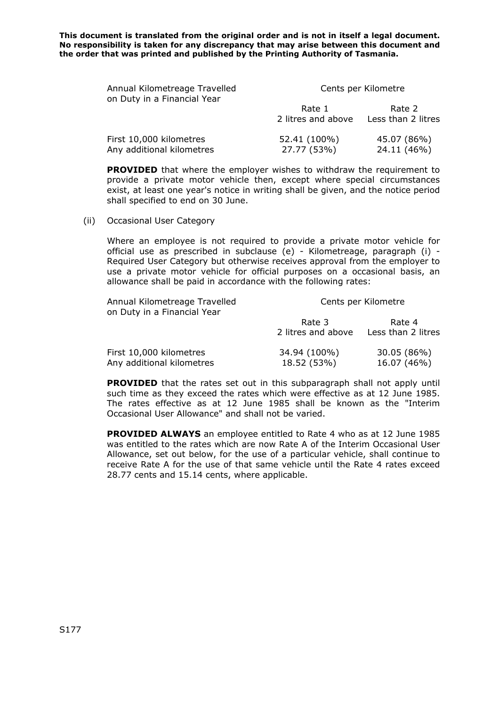| Annual Kilometreage Travelled<br>on Duty in a Financial Year | Cents per Kilometre          |                              |
|--------------------------------------------------------------|------------------------------|------------------------------|
|                                                              | Rate 1<br>2 litres and above | Rate 2<br>Less than 2 litres |
| First 10,000 kilometres<br>Any additional kilometres         | 52.41 (100%)<br>27.77 (53%)  | 45.07 (86%)<br>24.11 (46%)   |

**PROVIDED** that where the employer wishes to withdraw the requirement to provide a private motor vehicle then, except where special circumstances exist, at least one year's notice in writing shall be given, and the notice period shall specified to end on 30 June.

(ii) Occasional User Category

Where an employee is not required to provide a private motor vehicle for official use as prescribed in subclause (e) - Kilometreage, paragraph (i) - Required User Category but otherwise receives approval from the employer to use a private motor vehicle for official purposes on a occasional basis, an allowance shall be paid in accordance with the following rates:

| Annual Kilometreage Travelled<br>on Duty in a Financial Year | Cents per Kilometre          |                              |
|--------------------------------------------------------------|------------------------------|------------------------------|
|                                                              | Rate 3<br>2 litres and above | Rate 4<br>Less than 2 litres |
| First 10,000 kilometres<br>Any additional kilometres         | 34.94 (100%)<br>18.52 (53%)  | 30.05 (86%)<br>16.07 (46%)   |

**PROVIDED** that the rates set out in this subparagraph shall not apply until such time as they exceed the rates which were effective as at 12 June 1985. The rates effective as at 12 June 1985 shall be known as the "Interim Occasional User Allowance" and shall not be varied.

**PROVIDED ALWAYS** an employee entitled to Rate 4 who as at 12 June 1985 was entitled to the rates which are now Rate A of the Interim Occasional User Allowance, set out below, for the use of a particular vehicle, shall continue to receive Rate A for the use of that same vehicle until the Rate 4 rates exceed 28.77 cents and 15.14 cents, where applicable.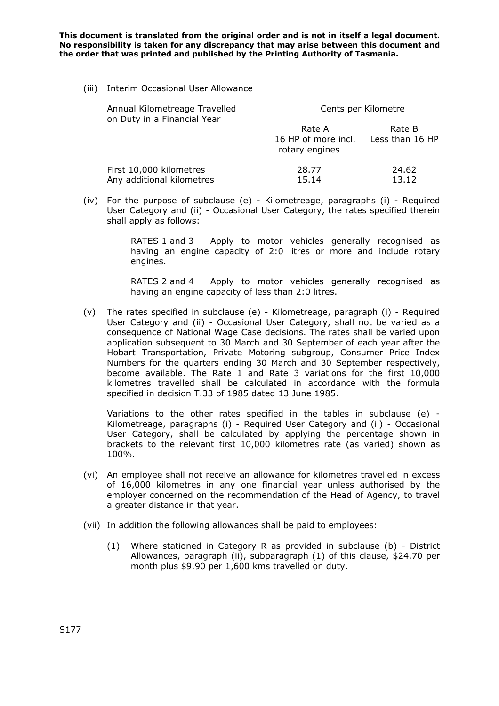(iii) Interim Occasional User Allowance

| Annual Kilometreage Travelled<br>on Duty in a Financial Year | Cents per Kilometre           |                           |
|--------------------------------------------------------------|-------------------------------|---------------------------|
|                                                              | Rate A<br>16 HP of more incl. | Rate B<br>Less than 16 HP |
| First 10,000 kilometres                                      | rotary engines<br>28.77       | 24.62                     |
| Any additional kilometres                                    | 15.14                         | 13.12                     |

(iv) For the purpose of subclause (e) - Kilometreage, paragraphs (i) - Required User Category and (ii) - Occasional User Category, the rates specified therein shall apply as follows:

> RATES 1 and 3 Apply to motor vehicles generally recognised as having an engine capacity of 2:0 litres or more and include rotary engines.

> RATES 2 and 4 Apply to motor vehicles generally recognised as having an engine capacity of less than 2:0 litres.

(v) The rates specified in subclause (e) - Kilometreage, paragraph (i) - Required User Category and (ii) - Occasional User Category, shall not be varied as a consequence of National Wage Case decisions. The rates shall be varied upon application subsequent to 30 March and 30 September of each year after the Hobart Transportation, Private Motoring subgroup, Consumer Price Index Numbers for the quarters ending 30 March and 30 September respectively, become available. The Rate 1 and Rate 3 variations for the first 10,000 kilometres travelled shall be calculated in accordance with the formula specified in decision T.33 of 1985 dated 13 June 1985.

Variations to the other rates specified in the tables in subclause (e) - Kilometreage, paragraphs (i) - Required User Category and (ii) - Occasional User Category, shall be calculated by applying the percentage shown in brackets to the relevant first 10,000 kilometres rate (as varied) shown as 100%.

- (vi) An employee shall not receive an allowance for kilometres travelled in excess of 16,000 kilometres in any one financial year unless authorised by the employer concerned on the recommendation of the Head of Agency, to travel a greater distance in that year.
- (vii) In addition the following allowances shall be paid to employees:
	- (1) Where stationed in Category R as provided in subclause (b) District Allowances, paragraph (ii), subparagraph (1) of this clause, \$24.70 per month plus \$9.90 per 1,600 kms travelled on duty.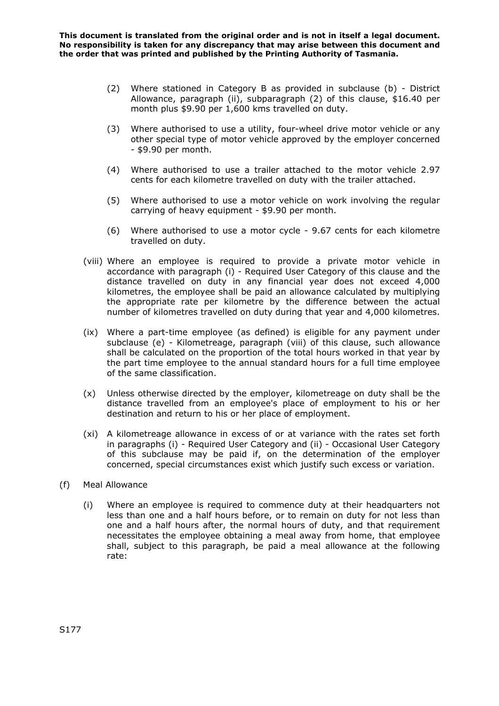- (2) Where stationed in Category B as provided in subclause (b) District Allowance, paragraph (ii), subparagraph (2) of this clause, \$16.40 per month plus \$9.90 per 1,600 kms travelled on duty.
- (3) Where authorised to use a utility, four-wheel drive motor vehicle or any other special type of motor vehicle approved by the employer concerned - \$9.90 per month.
- (4) Where authorised to use a trailer attached to the motor vehicle 2.97 cents for each kilometre travelled on duty with the trailer attached.
- (5) Where authorised to use a motor vehicle on work involving the regular carrying of heavy equipment - \$9.90 per month.
- (6) Where authorised to use a motor cycle 9.67 cents for each kilometre travelled on duty.
- (viii) Where an employee is required to provide a private motor vehicle in accordance with paragraph (i) - Required User Category of this clause and the distance travelled on duty in any financial year does not exceed 4,000 kilometres, the employee shall be paid an allowance calculated by multiplying the appropriate rate per kilometre by the difference between the actual number of kilometres travelled on duty during that year and 4,000 kilometres.
- (ix) Where a part-time employee (as defined) is eligible for any payment under subclause (e) - Kilometreage, paragraph (viii) of this clause, such allowance shall be calculated on the proportion of the total hours worked in that year by the part time employee to the annual standard hours for a full time employee of the same classification.
- (x) Unless otherwise directed by the employer, kilometreage on duty shall be the distance travelled from an employee's place of employment to his or her destination and return to his or her place of employment.
- (xi) A kilometreage allowance in excess of or at variance with the rates set forth in paragraphs (i) - Required User Category and (ii) - Occasional User Category of this subclause may be paid if, on the determination of the employer concerned, special circumstances exist which justify such excess or variation.
- (f) Meal Allowance
	- (i) Where an employee is required to commence duty at their headquarters not less than one and a half hours before, or to remain on duty for not less than one and a half hours after, the normal hours of duty, and that requirement necessitates the employee obtaining a meal away from home, that employee shall, subject to this paragraph, be paid a meal allowance at the following rate: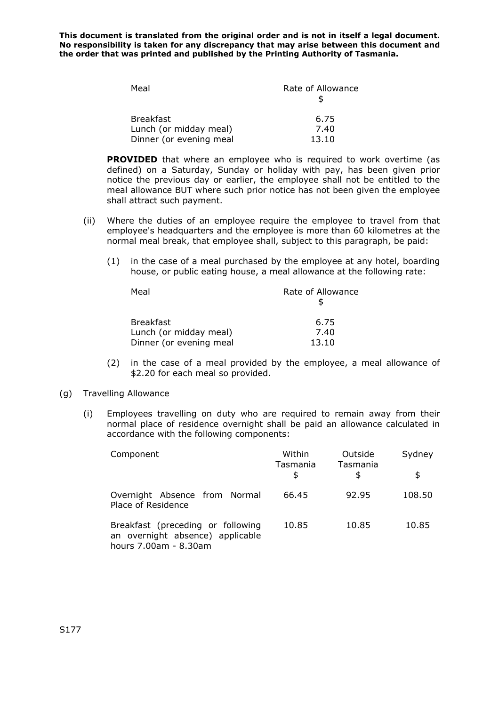| Meal                    | Rate of Allowance |
|-------------------------|-------------------|
|                         |                   |
| <b>Breakfast</b>        | 6.75              |
| Lunch (or midday meal)  | 7.40              |
| Dinner (or evening meal | 13.10             |

**PROVIDED** that where an employee who is required to work overtime (as defined) on a Saturday, Sunday or holiday with pay, has been given prior notice the previous day or earlier, the employee shall not be entitled to the meal allowance BUT where such prior notice has not been given the employee shall attract such payment.

- (ii) Where the duties of an employee require the employee to travel from that employee's headquarters and the employee is more than 60 kilometres at the normal meal break, that employee shall, subject to this paragraph, be paid:
	- (1) in the case of a meal purchased by the employee at any hotel, boarding house, or public eating house, a meal allowance at the following rate:

| Meal                    | Rate of Allowance |
|-------------------------|-------------------|
|                         |                   |
| <b>Breakfast</b>        | 6.75              |
| Lunch (or midday meal)  | 7.40              |
| Dinner (or evening meal | 13.10             |

(2) in the case of a meal provided by the employee, a meal allowance of \$2.20 for each meal so provided.

### (g) Travelling Allowance

(i) Employees travelling on duty who are required to remain away from their normal place of residence overnight shall be paid an allowance calculated in accordance with the following components:

| Component                                                                                      | Within<br>Tasmania | Outside<br>Tasmania | Sydney |
|------------------------------------------------------------------------------------------------|--------------------|---------------------|--------|
|                                                                                                | \$                 | \$                  | \$     |
| Overnight Absence from Normal<br>Place of Residence                                            | 66.45              | 92.95               | 108.50 |
| Breakfast (preceding or following<br>an overnight absence) applicable<br>hours 7.00am - 8.30am | 10.85              | 10.85               | 10.85  |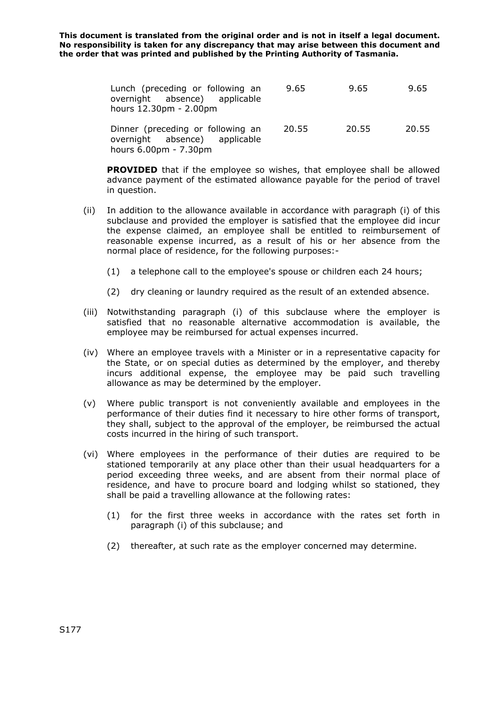| Lunch (preceding or following an<br>overnight absence) applicable<br>hours 12.30pm - 2.00pm | 9.65  | 9.65  | 9.65  |
|---------------------------------------------------------------------------------------------|-------|-------|-------|
| Dinner (preceding or following an<br>overnight absence) applicable<br>hours 6.00pm - 7.30pm | 20.55 | 20.55 | 20.55 |

**PROVIDED** that if the employee so wishes, that employee shall be allowed advance payment of the estimated allowance payable for the period of travel in question.

- (ii) In addition to the allowance available in accordance with paragraph (i) of this subclause and provided the employer is satisfied that the employee did incur the expense claimed, an employee shall be entitled to reimbursement of reasonable expense incurred, as a result of his or her absence from the normal place of residence, for the following purposes:-
	- (1) a telephone call to the employee's spouse or children each 24 hours;
	- (2) dry cleaning or laundry required as the result of an extended absence.
- (iii) Notwithstanding paragraph (i) of this subclause where the employer is satisfied that no reasonable alternative accommodation is available, the employee may be reimbursed for actual expenses incurred.
- (iv) Where an employee travels with a Minister or in a representative capacity for the State, or on special duties as determined by the employer, and thereby incurs additional expense, the employee may be paid such travelling allowance as may be determined by the employer.
- (v) Where public transport is not conveniently available and employees in the performance of their duties find it necessary to hire other forms of transport, they shall, subject to the approval of the employer, be reimbursed the actual costs incurred in the hiring of such transport.
- (vi) Where employees in the performance of their duties are required to be stationed temporarily at any place other than their usual headquarters for a period exceeding three weeks, and are absent from their normal place of residence, and have to procure board and lodging whilst so stationed, they shall be paid a travelling allowance at the following rates:
	- (1) for the first three weeks in accordance with the rates set forth in paragraph (i) of this subclause; and
	- (2) thereafter, at such rate as the employer concerned may determine.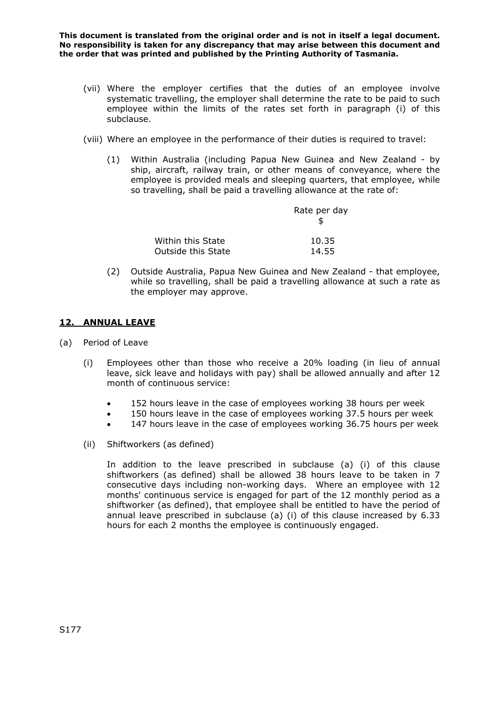- (vii) Where the employer certifies that the duties of an employee involve systematic travelling, the employer shall determine the rate to be paid to such employee within the limits of the rates set forth in paragraph (i) of this subclause.
- (viii) Where an employee in the performance of their duties is required to travel:
	- (1) Within Australia (including Papua New Guinea and New Zealand by ship, aircraft, railway train, or other means of conveyance, where the employee is provided meals and sleeping quarters, that employee, while so travelling, shall be paid a travelling allowance at the rate of:

|                           | Rate per day |
|---------------------------|--------------|
| Within this State         | 10.35        |
| <b>Outside this State</b> | 14.55        |

(2) Outside Australia, Papua New Guinea and New Zealand - that employee, while so travelling, shall be paid a travelling allowance at such a rate as the employer may approve.

## **12. ANNUAL LEAVE**

- (a) Period of Leave
	- (i) Employees other than those who receive a 20% loading (in lieu of annual leave, sick leave and holidays with pay) shall be allowed annually and after 12 month of continuous service:
		- 152 hours leave in the case of employees working 38 hours per week
		- 150 hours leave in the case of employees working 37.5 hours per week
		- 147 hours leave in the case of employees working 36.75 hours per week
	- (ii) Shiftworkers (as defined)

In addition to the leave prescribed in subclause (a) (i) of this clause shiftworkers (as defined) shall be allowed 38 hours leave to be taken in 7 consecutive days including non-working days. Where an employee with 12 months' continuous service is engaged for part of the 12 monthly period as a shiftworker (as defined), that employee shall be entitled to have the period of annual leave prescribed in subclause (a) (i) of this clause increased by 6.33 hours for each 2 months the employee is continuously engaged.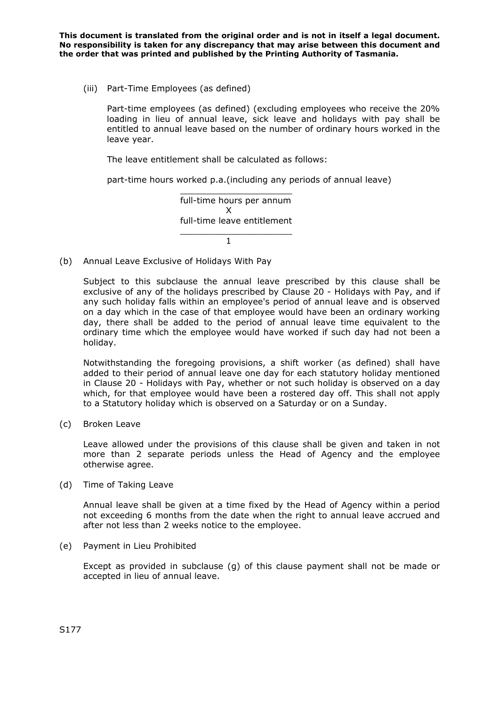(iii) Part-Time Employees (as defined)

Part-time employees (as defined) (excluding employees who receive the 20% loading in lieu of annual leave, sick leave and holidays with pay shall be entitled to annual leave based on the number of ordinary hours worked in the leave year.

The leave entitlement shall be calculated as follows:

part-time hours worked p.a.(including any periods of annual leave)

 \_\_\_\_\_\_\_\_\_\_\_\_\_\_\_\_\_\_\_\_\_ full-time hours per annum **X X** full-time leave entitlement \_\_\_\_\_\_\_\_\_\_\_\_\_\_\_\_\_\_\_\_\_

(b) Annual Leave Exclusive of Holidays With Pay

 $1$  and  $1$ 

Subject to this subclause the annual leave prescribed by this clause shall be exclusive of any of the holidays prescribed by Clause 20 - Holidays with Pay, and if any such holiday falls within an employee's period of annual leave and is observed on a day which in the case of that employee would have been an ordinary working day, there shall be added to the period of annual leave time equivalent to the ordinary time which the employee would have worked if such day had not been a holiday.

Notwithstanding the foregoing provisions, a shift worker (as defined) shall have added to their period of annual leave one day for each statutory holiday mentioned in Clause 20 - Holidays with Pay, whether or not such holiday is observed on a day which, for that employee would have been a rostered day off. This shall not apply to a Statutory holiday which is observed on a Saturday or on a Sunday.

(c) Broken Leave

Leave allowed under the provisions of this clause shall be given and taken in not more than 2 separate periods unless the Head of Agency and the employee otherwise agree.

(d) Time of Taking Leave

Annual leave shall be given at a time fixed by the Head of Agency within a period not exceeding 6 months from the date when the right to annual leave accrued and after not less than 2 weeks notice to the employee.

(e) Payment in Lieu Prohibited

Except as provided in subclause (g) of this clause payment shall not be made or accepted in lieu of annual leave.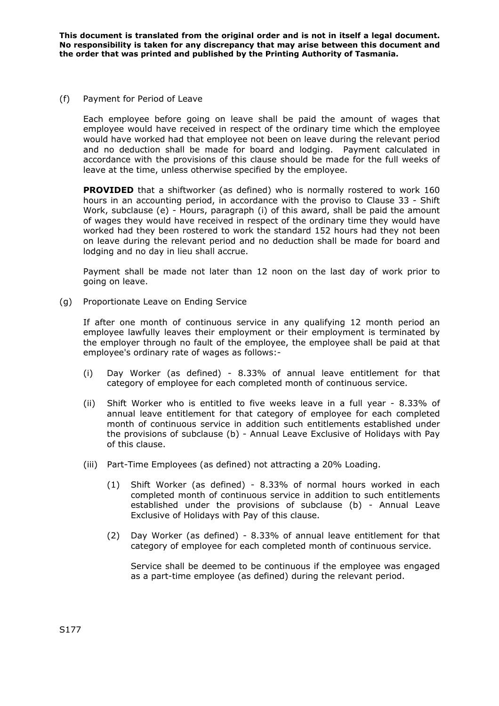### (f) Payment for Period of Leave

Each employee before going on leave shall be paid the amount of wages that employee would have received in respect of the ordinary time which the employee would have worked had that employee not been on leave during the relevant period and no deduction shall be made for board and lodging. Payment calculated in accordance with the provisions of this clause should be made for the full weeks of leave at the time, unless otherwise specified by the employee.

**PROVIDED** that a shiftworker (as defined) who is normally rostered to work 160 hours in an accounting period, in accordance with the proviso to Clause 33 - Shift Work, subclause (e) - Hours, paragraph (i) of this award, shall be paid the amount of wages they would have received in respect of the ordinary time they would have worked had they been rostered to work the standard 152 hours had they not been on leave during the relevant period and no deduction shall be made for board and lodging and no day in lieu shall accrue.

Payment shall be made not later than 12 noon on the last day of work prior to going on leave.

(g) Proportionate Leave on Ending Service

If after one month of continuous service in any qualifying 12 month period an employee lawfully leaves their employment or their employment is terminated by the employer through no fault of the employee, the employee shall be paid at that employee's ordinary rate of wages as follows:-

- (i) Day Worker (as defined) 8.33% of annual leave entitlement for that category of employee for each completed month of continuous service.
- (ii) Shift Worker who is entitled to five weeks leave in a full year 8.33% of annual leave entitlement for that category of employee for each completed month of continuous service in addition such entitlements established under the provisions of subclause (b) - Annual Leave Exclusive of Holidays with Pay of this clause.
- (iii) Part-Time Employees (as defined) not attracting a 20% Loading.
	- (1) Shift Worker (as defined) 8.33% of normal hours worked in each completed month of continuous service in addition to such entitlements established under the provisions of subclause (b) - Annual Leave Exclusive of Holidays with Pay of this clause.
	- (2) Day Worker (as defined) 8.33% of annual leave entitlement for that category of employee for each completed month of continuous service.

Service shall be deemed to be continuous if the employee was engaged as a part-time employee (as defined) during the relevant period.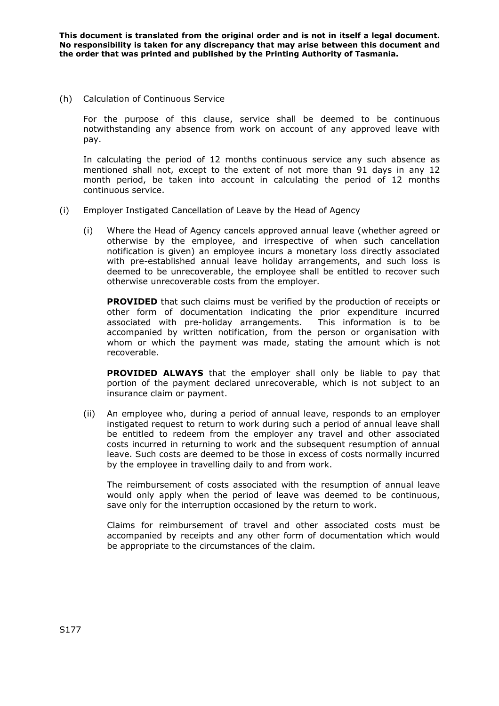(h) Calculation of Continuous Service

For the purpose of this clause, service shall be deemed to be continuous notwithstanding any absence from work on account of any approved leave with pay.

In calculating the period of 12 months continuous service any such absence as mentioned shall not, except to the extent of not more than 91 days in any 12 month period, be taken into account in calculating the period of 12 months continuous service.

- (i) Employer Instigated Cancellation of Leave by the Head of Agency
	- (i) Where the Head of Agency cancels approved annual leave (whether agreed or otherwise by the employee, and irrespective of when such cancellation notification is given) an employee incurs a monetary loss directly associated with pre-established annual leave holiday arrangements, and such loss is deemed to be unrecoverable, the employee shall be entitled to recover such otherwise unrecoverable costs from the employer.

**PROVIDED** that such claims must be verified by the production of receipts or other form of documentation indicating the prior expenditure incurred associated with pre-holiday arrangements. This information is to be accompanied by written notification, from the person or organisation with whom or which the payment was made, stating the amount which is not recoverable.

**PROVIDED ALWAYS** that the employer shall only be liable to pay that portion of the payment declared unrecoverable, which is not subject to an insurance claim or payment.

(ii) An employee who, during a period of annual leave, responds to an employer instigated request to return to work during such a period of annual leave shall be entitled to redeem from the employer any travel and other associated costs incurred in returning to work and the subsequent resumption of annual leave. Such costs are deemed to be those in excess of costs normally incurred by the employee in travelling daily to and from work.

The reimbursement of costs associated with the resumption of annual leave would only apply when the period of leave was deemed to be continuous, save only for the interruption occasioned by the return to work.

Claims for reimbursement of travel and other associated costs must be accompanied by receipts and any other form of documentation which would be appropriate to the circumstances of the claim.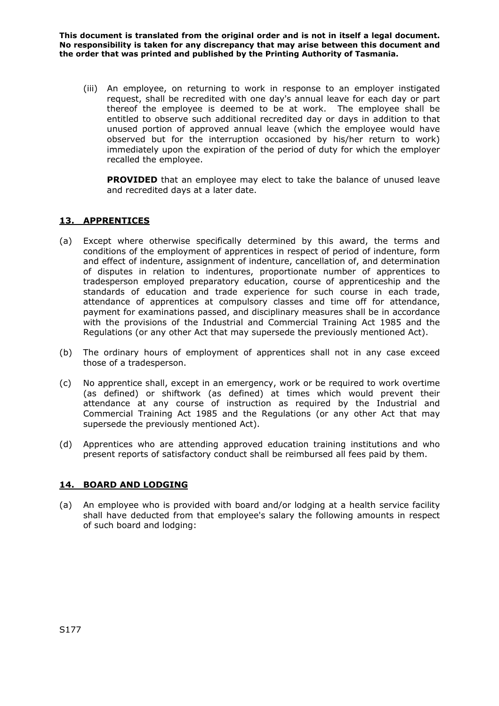(iii) An employee, on returning to work in response to an employer instigated request, shall be recredited with one day's annual leave for each day or part thereof the employee is deemed to be at work. The employee shall be entitled to observe such additional recredited day or days in addition to that unused portion of approved annual leave (which the employee would have observed but for the interruption occasioned by his/her return to work) immediately upon the expiration of the period of duty for which the employer recalled the employee.

**PROVIDED** that an employee may elect to take the balance of unused leave and recredited days at a later date.

# **13. APPRENTICES**

- (a) Except where otherwise specifically determined by this award, the terms and conditions of the employment of apprentices in respect of period of indenture, form and effect of indenture, assignment of indenture, cancellation of, and determination of disputes in relation to indentures, proportionate number of apprentices to tradesperson employed preparatory education, course of apprenticeship and the standards of education and trade experience for such course in each trade, attendance of apprentices at compulsory classes and time off for attendance, payment for examinations passed, and disciplinary measures shall be in accordance with the provisions of the Industrial and Commercial Training Act 1985 and the Regulations (or any other Act that may supersede the previously mentioned Act).
- (b) The ordinary hours of employment of apprentices shall not in any case exceed those of a tradesperson.
- (c) No apprentice shall, except in an emergency, work or be required to work overtime (as defined) or shiftwork (as defined) at times which would prevent their attendance at any course of instruction as required by the Industrial and Commercial Training Act 1985 and the Regulations (or any other Act that may supersede the previously mentioned Act).
- (d) Apprentices who are attending approved education training institutions and who present reports of satisfactory conduct shall be reimbursed all fees paid by them.

### **14. BOARD AND LODGING**

(a) An employee who is provided with board and/or lodging at a health service facility shall have deducted from that employee's salary the following amounts in respect of such board and lodging: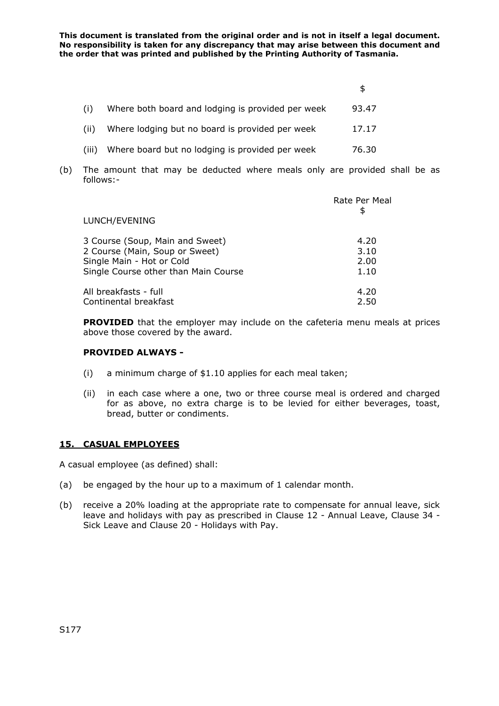|       | Where both board and lodging is provided per week | 93.47 |
|-------|---------------------------------------------------|-------|
|       | Where lodging but no board is provided per week   | 17.17 |
| (111) | Where board but no lodging is provided per week   | 76.30 |

(b) The amount that may be deducted where meals only are provided shall be as follows:-

| LUNCH/EVENING                        | Rate Per Meal<br>\$ |
|--------------------------------------|---------------------|
| 3 Course (Soup, Main and Sweet)      | 4.20                |
| 2 Course (Main, Soup or Sweet)       | 3.10                |
| Single Main - Hot or Cold            | 2.00                |
| Single Course other than Main Course | 1.10                |
| All breakfasts - full                | 4.20                |
| Continental breakfast                | 2.50                |

**PROVIDED** that the employer may include on the cafeteria menu meals at prices above those covered by the award.

### **PROVIDED ALWAYS -**

- (i) a minimum charge of \$1.10 applies for each meal taken;
- (ii) in each case where a one, two or three course meal is ordered and charged for as above, no extra charge is to be levied for either beverages, toast, bread, butter or condiments.

# **15. CASUAL EMPLOYEES**

A casual employee (as defined) shall:

- (a) be engaged by the hour up to a maximum of 1 calendar month.
- (b) receive a 20% loading at the appropriate rate to compensate for annual leave, sick leave and holidays with pay as prescribed in Clause 12 - Annual Leave, Clause 34 - Sick Leave and Clause 20 - Holidays with Pay.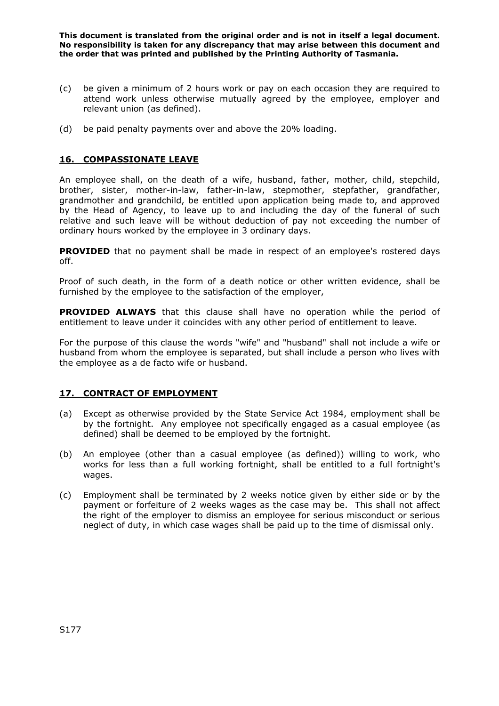- (c) be given a minimum of 2 hours work or pay on each occasion they are required to attend work unless otherwise mutually agreed by the employee, employer and relevant union (as defined).
- (d) be paid penalty payments over and above the 20% loading.

# **16. COMPASSIONATE LEAVE**

An employee shall, on the death of a wife, husband, father, mother, child, stepchild, brother, sister, mother-in-law, father-in-law, stepmother, stepfather, grandfather, grandmother and grandchild, be entitled upon application being made to, and approved by the Head of Agency, to leave up to and including the day of the funeral of such relative and such leave will be without deduction of pay not exceeding the number of ordinary hours worked by the employee in 3 ordinary days.

**PROVIDED** that no payment shall be made in respect of an employee's rostered days off.

Proof of such death, in the form of a death notice or other written evidence, shall be furnished by the employee to the satisfaction of the employer,

**PROVIDED ALWAYS** that this clause shall have no operation while the period of entitlement to leave under it coincides with any other period of entitlement to leave.

For the purpose of this clause the words "wife" and "husband" shall not include a wife or husband from whom the employee is separated, but shall include a person who lives with the employee as a de facto wife or husband.

# **17. CONTRACT OF EMPLOYMENT**

- (a) Except as otherwise provided by the State Service Act 1984, employment shall be by the fortnight. Any employee not specifically engaged as a casual employee (as defined) shall be deemed to be employed by the fortnight.
- (b) An employee (other than a casual employee (as defined)) willing to work, who works for less than a full working fortnight, shall be entitled to a full fortnight's wages.
- (c) Employment shall be terminated by 2 weeks notice given by either side or by the payment or forfeiture of 2 weeks wages as the case may be. This shall not affect the right of the employer to dismiss an employee for serious misconduct or serious neglect of duty, in which case wages shall be paid up to the time of dismissal only.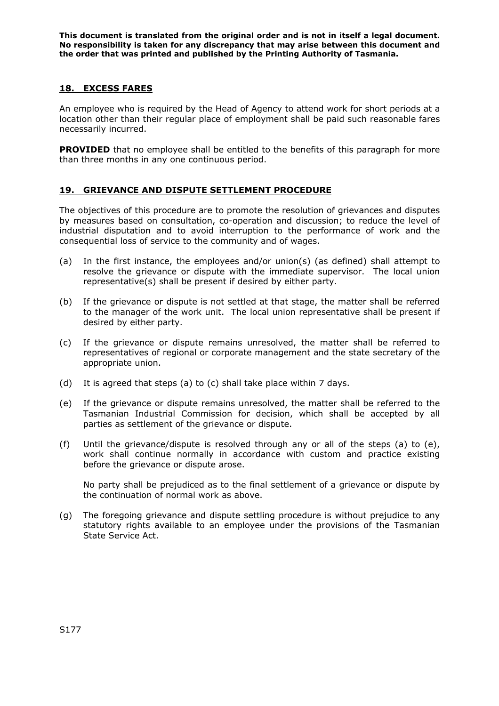## **18. EXCESS FARES**

An employee who is required by the Head of Agency to attend work for short periods at a location other than their regular place of employment shall be paid such reasonable fares necessarily incurred.

**PROVIDED** that no employee shall be entitled to the benefits of this paragraph for more than three months in any one continuous period.

## **19. GRIEVANCE AND DISPUTE SETTLEMENT PROCEDURE**

The objectives of this procedure are to promote the resolution of grievances and disputes by measures based on consultation, co-operation and discussion; to reduce the level of industrial disputation and to avoid interruption to the performance of work and the consequential loss of service to the community and of wages.

- (a) In the first instance, the employees and/or union(s) (as defined) shall attempt to resolve the grievance or dispute with the immediate supervisor. The local union representative(s) shall be present if desired by either party.
- (b) If the grievance or dispute is not settled at that stage, the matter shall be referred to the manager of the work unit. The local union representative shall be present if desired by either party.
- (c) If the grievance or dispute remains unresolved, the matter shall be referred to representatives of regional or corporate management and the state secretary of the appropriate union.
- (d) It is agreed that steps (a) to (c) shall take place within 7 days.
- (e) If the grievance or dispute remains unresolved, the matter shall be referred to the Tasmanian Industrial Commission for decision, which shall be accepted by all parties as settlement of the grievance or dispute.
- (f) Until the grievance/dispute is resolved through any or all of the steps (a) to (e), work shall continue normally in accordance with custom and practice existing before the grievance or dispute arose.

No party shall be prejudiced as to the final settlement of a grievance or dispute by the continuation of normal work as above.

(g) The foregoing grievance and dispute settling procedure is without prejudice to any statutory rights available to an employee under the provisions of the Tasmanian State Service Act.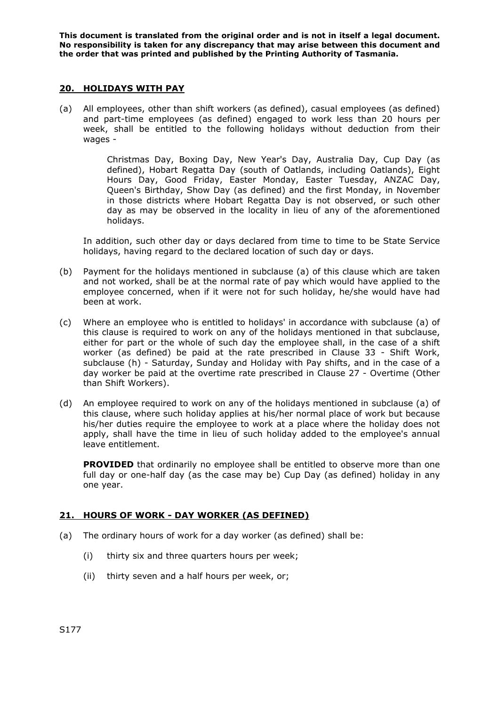### **20. HOLIDAYS WITH PAY**

(a) All employees, other than shift workers (as defined), casual employees (as defined) and part-time employees (as defined) engaged to work less than 20 hours per week, shall be entitled to the following holidays without deduction from their wages -

> Christmas Day, Boxing Day, New Year's Day, Australia Day, Cup Day (as defined), Hobart Regatta Day (south of Oatlands, including Oatlands), Eight Hours Day, Good Friday, Easter Monday, Easter Tuesday, ANZAC Day, Queen's Birthday, Show Day (as defined) and the first Monday, in November in those districts where Hobart Regatta Day is not observed, or such other day as may be observed in the locality in lieu of any of the aforementioned holidays.

In addition, such other day or days declared from time to time to be State Service holidays, having regard to the declared location of such day or days.

- (b) Payment for the holidays mentioned in subclause (a) of this clause which are taken and not worked, shall be at the normal rate of pay which would have applied to the employee concerned, when if it were not for such holiday, he/she would have had been at work.
- (c) Where an employee who is entitled to holidays' in accordance with subclause (a) of this clause is required to work on any of the holidays mentioned in that subclause, either for part or the whole of such day the employee shall, in the case of a shift worker (as defined) be paid at the rate prescribed in Clause 33 - Shift Work, subclause (h) - Saturday, Sunday and Holiday with Pay shifts, and in the case of a day worker be paid at the overtime rate prescribed in Clause 27 - Overtime (Other than Shift Workers).
- (d) An employee required to work on any of the holidays mentioned in subclause (a) of this clause, where such holiday applies at his/her normal place of work but because his/her duties require the employee to work at a place where the holiday does not apply, shall have the time in lieu of such holiday added to the employee's annual leave entitlement.

**PROVIDED** that ordinarily no employee shall be entitled to observe more than one full day or one-half day (as the case may be) Cup Day (as defined) holiday in any one year.

# **21. HOURS OF WORK - DAY WORKER (AS DEFINED)**

- (a) The ordinary hours of work for a day worker (as defined) shall be:
	- (i) thirty six and three quarters hours per week;
	- (ii) thirty seven and a half hours per week, or;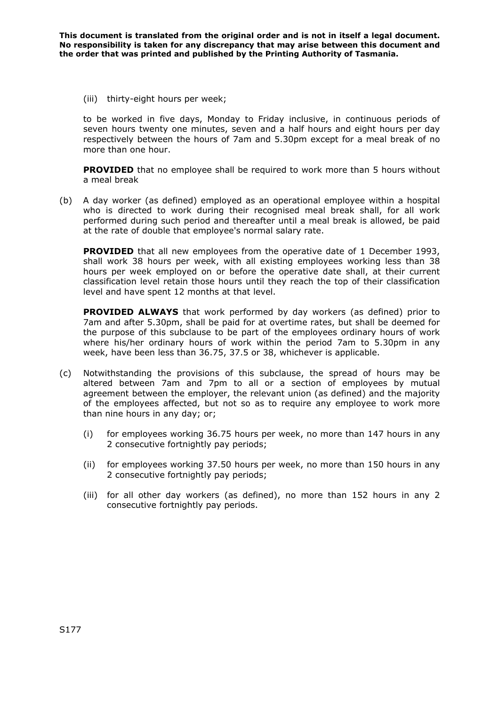(iii) thirty-eight hours per week;

to be worked in five days, Monday to Friday inclusive, in continuous periods of seven hours twenty one minutes, seven and a half hours and eight hours per day respectively between the hours of 7am and 5.30pm except for a meal break of no more than one hour.

**PROVIDED** that no employee shall be required to work more than 5 hours without a meal break

(b) A day worker (as defined) employed as an operational employee within a hospital who is directed to work during their recognised meal break shall, for all work performed during such period and thereafter until a meal break is allowed, be paid at the rate of double that employee's normal salary rate.

**PROVIDED** that all new employees from the operative date of 1 December 1993, shall work 38 hours per week, with all existing employees working less than 38 hours per week employed on or before the operative date shall, at their current classification level retain those hours until they reach the top of their classification level and have spent 12 months at that level.

**PROVIDED ALWAYS** that work performed by day workers (as defined) prior to 7am and after 5.30pm, shall be paid for at overtime rates, but shall be deemed for the purpose of this subclause to be part of the employees ordinary hours of work where his/her ordinary hours of work within the period 7am to 5.30pm in any week, have been less than 36.75, 37.5 or 38, whichever is applicable.

- (c) Notwithstanding the provisions of this subclause, the spread of hours may be altered between 7am and 7pm to all or a section of employees by mutual agreement between the employer, the relevant union (as defined) and the majority of the employees affected, but not so as to require any employee to work more than nine hours in any day; or;
	- (i) for employees working 36.75 hours per week, no more than 147 hours in any 2 consecutive fortnightly pay periods;
	- (ii) for employees working 37.50 hours per week, no more than 150 hours in any 2 consecutive fortnightly pay periods;
	- (iii) for all other day workers (as defined), no more than 152 hours in any 2 consecutive fortnightly pay periods.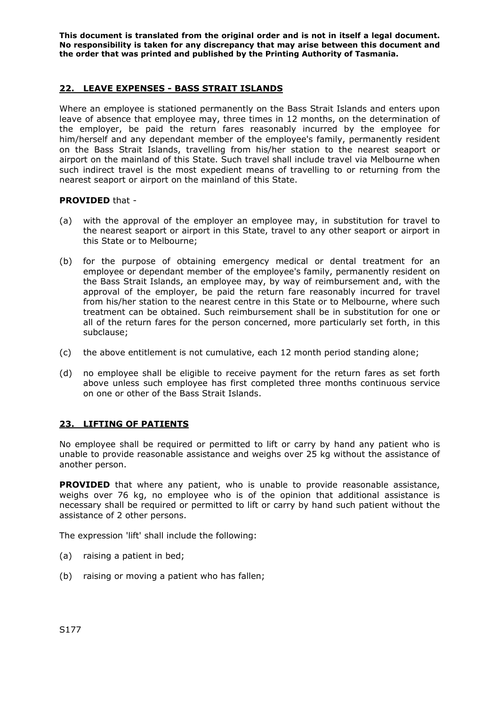## **22. LEAVE EXPENSES - BASS STRAIT ISLANDS**

Where an employee is stationed permanently on the Bass Strait Islands and enters upon leave of absence that employee may, three times in 12 months, on the determination of the employer, be paid the return fares reasonably incurred by the employee for him/herself and any dependant member of the employee's family, permanently resident on the Bass Strait Islands, travelling from his/her station to the nearest seaport or airport on the mainland of this State. Such travel shall include travel via Melbourne when such indirect travel is the most expedient means of travelling to or returning from the nearest seaport or airport on the mainland of this State.

### **PROVIDED** that -

- (a) with the approval of the employer an employee may, in substitution for travel to the nearest seaport or airport in this State, travel to any other seaport or airport in this State or to Melbourne;
- (b) for the purpose of obtaining emergency medical or dental treatment for an employee or dependant member of the employee's family, permanently resident on the Bass Strait Islands, an employee may, by way of reimbursement and, with the approval of the employer, be paid the return fare reasonably incurred for travel from his/her station to the nearest centre in this State or to Melbourne, where such treatment can be obtained. Such reimbursement shall be in substitution for one or all of the return fares for the person concerned, more particularly set forth, in this subclause;
- (c) the above entitlement is not cumulative, each 12 month period standing alone;
- (d) no employee shall be eligible to receive payment for the return fares as set forth above unless such employee has first completed three months continuous service on one or other of the Bass Strait Islands.

### **23. LIFTING OF PATIENTS**

No employee shall be required or permitted to lift or carry by hand any patient who is unable to provide reasonable assistance and weighs over 25 kg without the assistance of another person.

**PROVIDED** that where any patient, who is unable to provide reasonable assistance, weighs over 76 kg, no employee who is of the opinion that additional assistance is necessary shall be required or permitted to lift or carry by hand such patient without the assistance of 2 other persons.

The expression 'lift' shall include the following:

- (a) raising a patient in bed;
- (b) raising or moving a patient who has fallen;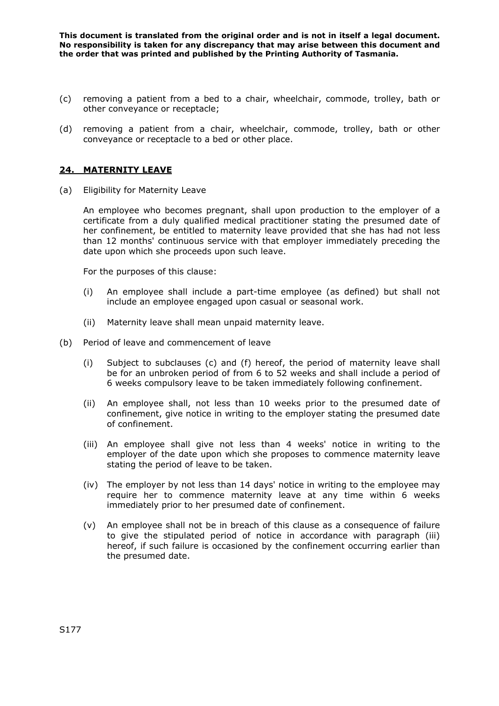- (c) removing a patient from a bed to a chair, wheelchair, commode, trolley, bath or other conveyance or receptacle;
- (d) removing a patient from a chair, wheelchair, commode, trolley, bath or other conveyance or receptacle to a bed or other place.

## **24. MATERNITY LEAVE**

(a) Eligibility for Maternity Leave

An employee who becomes pregnant, shall upon production to the employer of a certificate from a duly qualified medical practitioner stating the presumed date of her confinement, be entitled to maternity leave provided that she has had not less than 12 months' continuous service with that employer immediately preceding the date upon which she proceeds upon such leave.

For the purposes of this clause:

- (i) An employee shall include a part-time employee (as defined) but shall not include an employee engaged upon casual or seasonal work.
- (ii) Maternity leave shall mean unpaid maternity leave.
- (b) Period of leave and commencement of leave
	- (i) Subject to subclauses (c) and (f) hereof, the period of maternity leave shall be for an unbroken period of from 6 to 52 weeks and shall include a period of 6 weeks compulsory leave to be taken immediately following confinement.
	- (ii) An employee shall, not less than 10 weeks prior to the presumed date of confinement, give notice in writing to the employer stating the presumed date of confinement.
	- (iii) An employee shall give not less than 4 weeks' notice in writing to the employer of the date upon which she proposes to commence maternity leave stating the period of leave to be taken.
	- (iv) The employer by not less than 14 days' notice in writing to the employee may require her to commence maternity leave at any time within 6 weeks immediately prior to her presumed date of confinement.
	- (v) An employee shall not be in breach of this clause as a consequence of failure to give the stipulated period of notice in accordance with paragraph (iii) hereof, if such failure is occasioned by the confinement occurring earlier than the presumed date.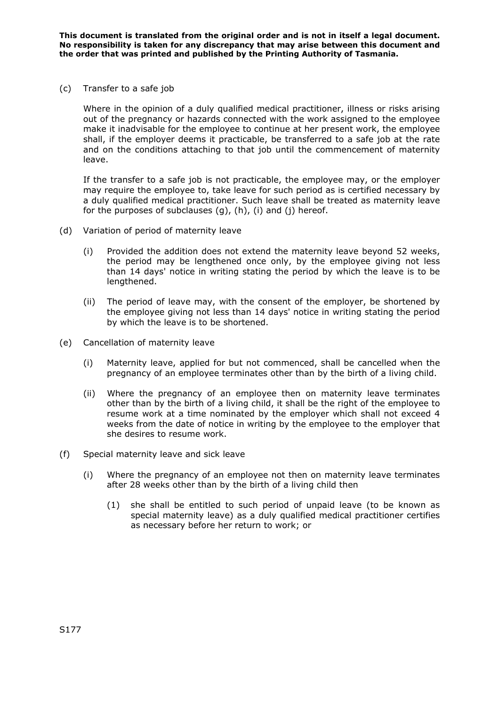(c) Transfer to a safe job

Where in the opinion of a duly qualified medical practitioner, illness or risks arising out of the pregnancy or hazards connected with the work assigned to the employee make it inadvisable for the employee to continue at her present work, the employee shall, if the employer deems it practicable, be transferred to a safe job at the rate and on the conditions attaching to that job until the commencement of maternity leave.

If the transfer to a safe job is not practicable, the employee may, or the employer may require the employee to, take leave for such period as is certified necessary by a duly qualified medical practitioner. Such leave shall be treated as maternity leave for the purposes of subclauses (g), (h), (i) and (j) hereof.

- (d) Variation of period of maternity leave
	- (i) Provided the addition does not extend the maternity leave beyond 52 weeks, the period may be lengthened once only, by the employee giving not less than 14 days' notice in writing stating the period by which the leave is to be lengthened.
	- (ii) The period of leave may, with the consent of the employer, be shortened by the employee giving not less than 14 days' notice in writing stating the period by which the leave is to be shortened.
- (e) Cancellation of maternity leave
	- (i) Maternity leave, applied for but not commenced, shall be cancelled when the pregnancy of an employee terminates other than by the birth of a living child.
	- (ii) Where the pregnancy of an employee then on maternity leave terminates other than by the birth of a living child, it shall be the right of the employee to resume work at a time nominated by the employer which shall not exceed 4 weeks from the date of notice in writing by the employee to the employer that she desires to resume work.
- (f) Special maternity leave and sick leave
	- (i) Where the pregnancy of an employee not then on maternity leave terminates after 28 weeks other than by the birth of a living child then
		- (1) she shall be entitled to such period of unpaid leave (to be known as special maternity leave) as a duly qualified medical practitioner certifies as necessary before her return to work; or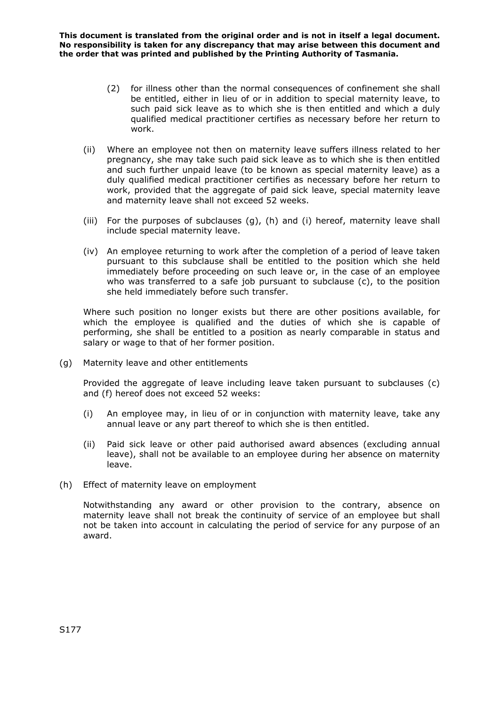- (2) for illness other than the normal consequences of confinement she shall be entitled, either in lieu of or in addition to special maternity leave, to such paid sick leave as to which she is then entitled and which a duly qualified medical practitioner certifies as necessary before her return to work.
- (ii) Where an employee not then on maternity leave suffers illness related to her pregnancy, she may take such paid sick leave as to which she is then entitled and such further unpaid leave (to be known as special maternity leave) as a duly qualified medical practitioner certifies as necessary before her return to work, provided that the aggregate of paid sick leave, special maternity leave and maternity leave shall not exceed 52 weeks.
- (iii) For the purposes of subclauses (g), (h) and (i) hereof, maternity leave shall include special maternity leave.
- (iv) An employee returning to work after the completion of a period of leave taken pursuant to this subclause shall be entitled to the position which she held immediately before proceeding on such leave or, in the case of an employee who was transferred to a safe job pursuant to subclause (c), to the position she held immediately before such transfer.

Where such position no longer exists but there are other positions available, for which the employee is qualified and the duties of which she is capable of performing, she shall be entitled to a position as nearly comparable in status and salary or wage to that of her former position.

(g) Maternity leave and other entitlements

Provided the aggregate of leave including leave taken pursuant to subclauses (c) and (f) hereof does not exceed 52 weeks:

- (i) An employee may, in lieu of or in conjunction with maternity leave, take any annual leave or any part thereof to which she is then entitled.
- (ii) Paid sick leave or other paid authorised award absences (excluding annual leave), shall not be available to an employee during her absence on maternity leave.
- (h) Effect of maternity leave on employment

Notwithstanding any award or other provision to the contrary, absence on maternity leave shall not break the continuity of service of an employee but shall not be taken into account in calculating the period of service for any purpose of an award.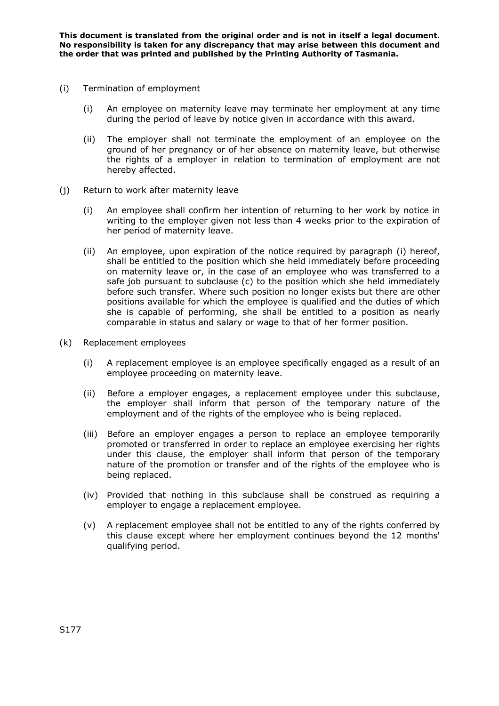- (i) Termination of employment
	- (i) An employee on maternity leave may terminate her employment at any time during the period of leave by notice given in accordance with this award.
	- (ii) The employer shall not terminate the employment of an employee on the ground of her pregnancy or of her absence on maternity leave, but otherwise the rights of a employer in relation to termination of employment are not hereby affected.
- (j) Return to work after maternity leave
	- (i) An employee shall confirm her intention of returning to her work by notice in writing to the employer given not less than 4 weeks prior to the expiration of her period of maternity leave.
	- (ii) An employee, upon expiration of the notice required by paragraph (i) hereof, shall be entitled to the position which she held immediately before proceeding on maternity leave or, in the case of an employee who was transferred to a safe job pursuant to subclause (c) to the position which she held immediately before such transfer. Where such position no longer exists but there are other positions available for which the employee is qualified and the duties of which she is capable of performing, she shall be entitled to a position as nearly comparable in status and salary or wage to that of her former position.
- (k) Replacement employees
	- (i) A replacement employee is an employee specifically engaged as a result of an employee proceeding on maternity leave.
	- (ii) Before a employer engages, a replacement employee under this subclause, the employer shall inform that person of the temporary nature of the employment and of the rights of the employee who is being replaced.
	- (iii) Before an employer engages a person to replace an employee temporarily promoted or transferred in order to replace an employee exercising her rights under this clause, the employer shall inform that person of the temporary nature of the promotion or transfer and of the rights of the employee who is being replaced.
	- (iv) Provided that nothing in this subclause shall be construed as requiring a employer to engage a replacement employee.
	- (v) A replacement employee shall not be entitled to any of the rights conferred by this clause except where her employment continues beyond the 12 months' qualifying period.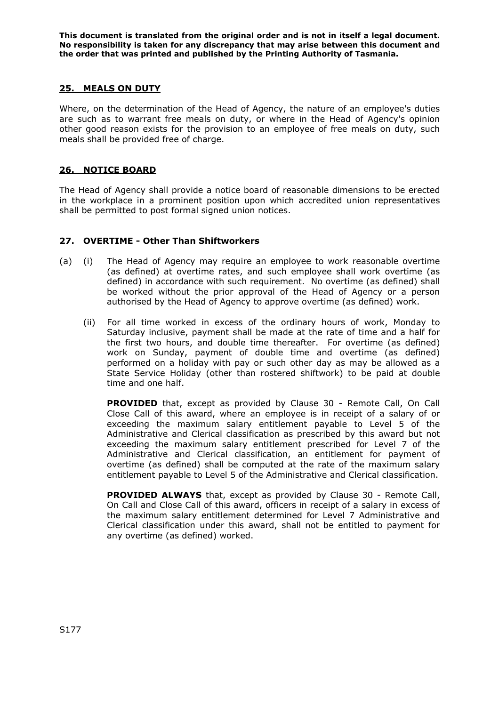# **25. MEALS ON DUTY**

Where, on the determination of the Head of Agency, the nature of an employee's duties are such as to warrant free meals on duty, or where in the Head of Agency's opinion other good reason exists for the provision to an employee of free meals on duty, such meals shall be provided free of charge.

# **26. NOTICE BOARD**

The Head of Agency shall provide a notice board of reasonable dimensions to be erected in the workplace in a prominent position upon which accredited union representatives shall be permitted to post formal signed union notices.

## **27. OVERTIME - Other Than Shiftworkers**

- (a) (i) The Head of Agency may require an employee to work reasonable overtime (as defined) at overtime rates, and such employee shall work overtime (as defined) in accordance with such requirement. No overtime (as defined) shall be worked without the prior approval of the Head of Agency or a person authorised by the Head of Agency to approve overtime (as defined) work.
	- (ii) For all time worked in excess of the ordinary hours of work, Monday to Saturday inclusive, payment shall be made at the rate of time and a half for the first two hours, and double time thereafter. For overtime (as defined) work on Sunday, payment of double time and overtime (as defined) performed on a holiday with pay or such other day as may be allowed as a State Service Holiday (other than rostered shiftwork) to be paid at double time and one half.

**PROVIDED** that, except as provided by Clause 30 - Remote Call, On Call Close Call of this award, where an employee is in receipt of a salary of or exceeding the maximum salary entitlement payable to Level 5 of the Administrative and Clerical classification as prescribed by this award but not exceeding the maximum salary entitlement prescribed for Level 7 of the Administrative and Clerical classification, an entitlement for payment of overtime (as defined) shall be computed at the rate of the maximum salary entitlement payable to Level 5 of the Administrative and Clerical classification.

 **PROVIDED ALWAYS** that, except as provided by Clause 30 - Remote Call, On Call and Close Call of this award, officers in receipt of a salary in excess of the maximum salary entitlement determined for Level 7 Administrative and Clerical classification under this award, shall not be entitled to payment for any overtime (as defined) worked.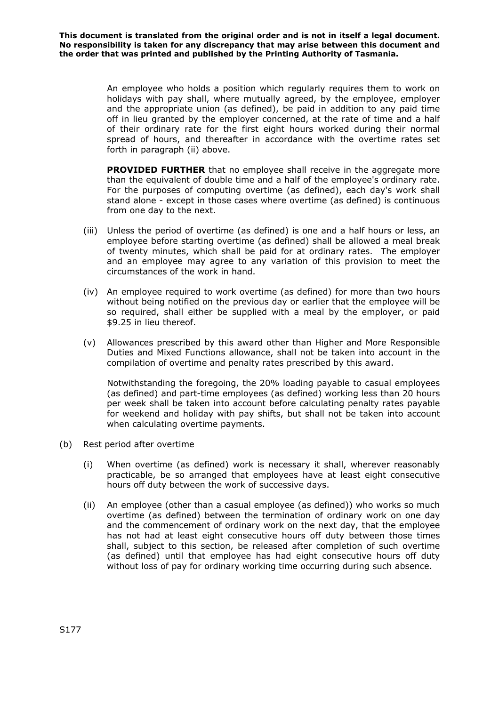> An employee who holds a position which regularly requires them to work on holidays with pay shall, where mutually agreed, by the employee, employer and the appropriate union (as defined), be paid in addition to any paid time off in lieu granted by the employer concerned, at the rate of time and a half of their ordinary rate for the first eight hours worked during their normal spread of hours, and thereafter in accordance with the overtime rates set forth in paragraph (ii) above.

> **PROVIDED FURTHER** that no employee shall receive in the aggregate more than the equivalent of double time and a half of the employee's ordinary rate. For the purposes of computing overtime (as defined), each day's work shall stand alone - except in those cases where overtime (as defined) is continuous from one day to the next.

- (iii) Unless the period of overtime (as defined) is one and a half hours or less, an employee before starting overtime (as defined) shall be allowed a meal break of twenty minutes, which shall be paid for at ordinary rates. The employer and an employee may agree to any variation of this provision to meet the circumstances of the work in hand.
- (iv) An employee required to work overtime (as defined) for more than two hours without being notified on the previous day or earlier that the employee will be so required, shall either be supplied with a meal by the employer, or paid \$9.25 in lieu thereof.
- (v) Allowances prescribed by this award other than Higher and More Responsible Duties and Mixed Functions allowance, shall not be taken into account in the compilation of overtime and penalty rates prescribed by this award.

Notwithstanding the foregoing, the 20% loading payable to casual employees (as defined) and part-time employees (as defined) working less than 20 hours per week shall be taken into account before calculating penalty rates payable for weekend and holiday with pay shifts, but shall not be taken into account when calculating overtime payments.

- (b) Rest period after overtime
	- (i) When overtime (as defined) work is necessary it shall, wherever reasonably practicable, be so arranged that employees have at least eight consecutive hours off duty between the work of successive days.
	- (ii) An employee (other than a casual employee (as defined)) who works so much overtime (as defined) between the termination of ordinary work on one day and the commencement of ordinary work on the next day, that the employee has not had at least eight consecutive hours off duty between those times shall, subject to this section, be released after completion of such overtime (as defined) until that employee has had eight consecutive hours off duty without loss of pay for ordinary working time occurring during such absence.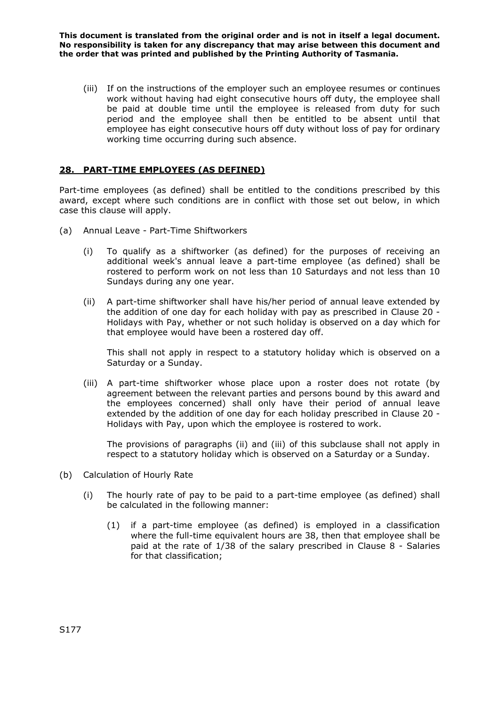(iii) If on the instructions of the employer such an employee resumes or continues work without having had eight consecutive hours off duty, the employee shall be paid at double time until the employee is released from duty for such period and the employee shall then be entitled to be absent until that employee has eight consecutive hours off duty without loss of pay for ordinary working time occurring during such absence.

# **28. PART-TIME EMPLOYEES (AS DEFINED)**

Part-time employees (as defined) shall be entitled to the conditions prescribed by this award, except where such conditions are in conflict with those set out below, in which case this clause will apply.

- (a) Annual Leave Part-Time Shiftworkers
	- (i) To qualify as a shiftworker (as defined) for the purposes of receiving an additional week's annual leave a part-time employee (as defined) shall be rostered to perform work on not less than 10 Saturdays and not less than 10 Sundays during any one year.
	- (ii) A part-time shiftworker shall have his/her period of annual leave extended by the addition of one day for each holiday with pay as prescribed in Clause 20 - Holidays with Pay, whether or not such holiday is observed on a day which for that employee would have been a rostered day off.

This shall not apply in respect to a statutory holiday which is observed on a Saturday or a Sunday.

(iii) A part-time shiftworker whose place upon a roster does not rotate (by agreement between the relevant parties and persons bound by this award and the employees concerned) shall only have their period of annual leave extended by the addition of one day for each holiday prescribed in Clause 20 - Holidays with Pay, upon which the employee is rostered to work.

The provisions of paragraphs (ii) and (iii) of this subclause shall not apply in respect to a statutory holiday which is observed on a Saturday or a Sunday.

- (b) Calculation of Hourly Rate
	- (i) The hourly rate of pay to be paid to a part-time employee (as defined) shall be calculated in the following manner:
		- (1) if a part-time employee (as defined) is employed in a classification where the full-time equivalent hours are 38, then that employee shall be paid at the rate of 1/38 of the salary prescribed in Clause 8 - Salaries for that classification;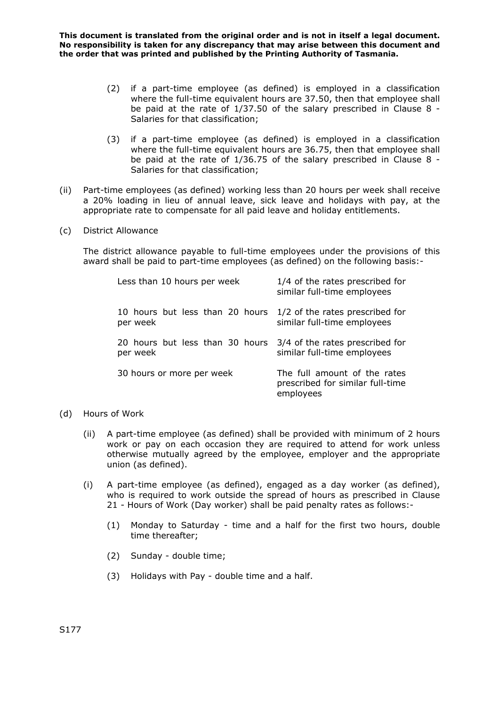- (2) if a part-time employee (as defined) is employed in a classification where the full-time equivalent hours are 37.50, then that employee shall be paid at the rate of 1/37.50 of the salary prescribed in Clause 8 - Salaries for that classification;
- (3) if a part-time employee (as defined) is employed in a classification where the full-time equivalent hours are 36.75, then that employee shall be paid at the rate of 1/36.75 of the salary prescribed in Clause 8 - Salaries for that classification;
- (ii) Part-time employees (as defined) working less than 20 hours per week shall receive a 20% loading in lieu of annual leave, sick leave and holidays with pay, at the appropriate rate to compensate for all paid leave and holiday entitlements.
- (c) District Allowance

The district allowance payable to full-time employees under the provisions of this award shall be paid to part-time employees (as defined) on the following basis:-

| Less than 10 hours per week                                                 | 1/4 of the rates prescribed for<br>similar full-time employees                |
|-----------------------------------------------------------------------------|-------------------------------------------------------------------------------|
| 10 hours but less than 20 hours 1/2 of the rates prescribed for<br>per week | similar full-time employees                                                   |
| 20 hours but less than 30 hours<br>per week                                 | 3/4 of the rates prescribed for<br>similar full-time employees                |
| 30 hours or more per week                                                   | The full amount of the rates<br>prescribed for similar full-time<br>employees |

- (d) Hours of Work
	- (ii) A part-time employee (as defined) shall be provided with minimum of 2 hours work or pay on each occasion they are required to attend for work unless otherwise mutually agreed by the employee, employer and the appropriate union (as defined).
	- (i) A part-time employee (as defined), engaged as a day worker (as defined), who is required to work outside the spread of hours as prescribed in Clause 21 - Hours of Work (Day worker) shall be paid penalty rates as follows:-
		- (1) Monday to Saturday time and a half for the first two hours, double time thereafter;
		- (2) Sunday double time;
		- (3) Holidays with Pay double time and a half.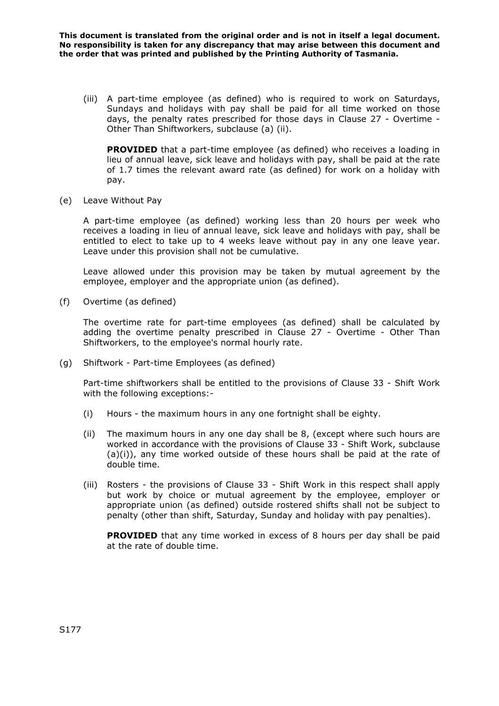(iii) A part-time employee (as defined) who is required to work on Saturdays, Sundays and holidays with pay shall be paid for all time worked on those days, the penalty rates prescribed for those days in Clause 27 - Overtime - Other Than Shiftworkers, subclause (a) (ii).

**PROVIDED** that a part-time employee (as defined) who receives a loading in lieu of annual leave, sick leave and holidays with pay, shall be paid at the rate of 1.7 times the relevant award rate (as defined) for work on a holiday with pay.

(e) Leave Without Pay

A part-time employee (as defined) working less than 20 hours per week who receives a loading in lieu of annual leave, sick leave and holidays with pay, shall be entitled to elect to take up to 4 weeks leave without pay in any one leave year. Leave under this provision shall not be cumulative.

Leave allowed under this provision may be taken by mutual agreement by the employee, employer and the appropriate union (as defined).

(f) Overtime (as defined)

The overtime rate for part-time employees (as defined) shall be calculated by adding the overtime penalty prescribed in Clause 27 - Overtime - Other Than Shiftworkers, to the employee's normal hourly rate.

(g) Shiftwork - Part-time Employees (as defined)

Part-time shiftworkers shall be entitled to the provisions of Clause 33 - Shift Work with the following exceptions:-

- (i) Hours the maximum hours in any one fortnight shall be eighty.
- (ii) The maximum hours in any one day shall be 8, (except where such hours are worked in accordance with the provisions of Clause 33 - Shift Work, subclause (a)(i)), any time worked outside of these hours shall be paid at the rate of double time.
- (iii) Rosters the provisions of Clause 33 Shift Work in this respect shall apply but work by choice or mutual agreement by the employee, employer or appropriate union (as defined) outside rostered shifts shall not be subject to penalty (other than shift, Saturday, Sunday and holiday with pay penalties).

**PROVIDED** that any time worked in excess of 8 hours per day shall be paid at the rate of double time.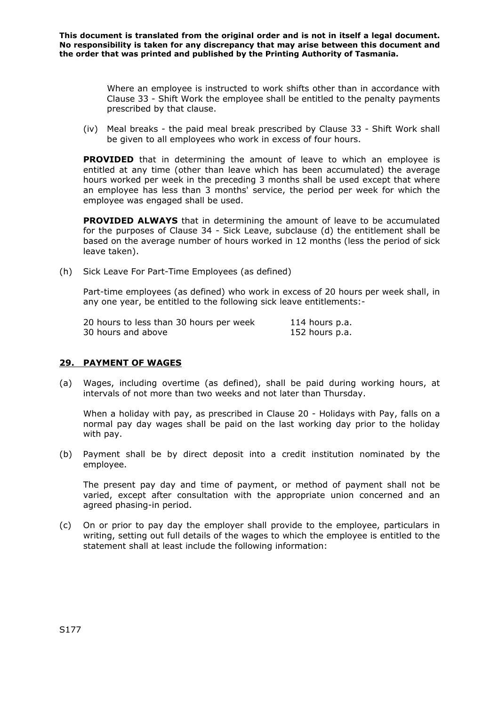> Where an employee is instructed to work shifts other than in accordance with Clause 33 - Shift Work the employee shall be entitled to the penalty payments prescribed by that clause.

(iv) Meal breaks - the paid meal break prescribed by Clause 33 - Shift Work shall be given to all employees who work in excess of four hours.

**PROVIDED** that in determining the amount of leave to which an employee is entitled at any time (other than leave which has been accumulated) the average hours worked per week in the preceding 3 months shall be used except that where an employee has less than 3 months' service, the period per week for which the employee was engaged shall be used.

**PROVIDED ALWAYS** that in determining the amount of leave to be accumulated for the purposes of Clause 34 - Sick Leave, subclause (d) the entitlement shall be based on the average number of hours worked in 12 months (less the period of sick leave taken).

(h) Sick Leave For Part-Time Employees (as defined)

Part-time employees (as defined) who work in excess of 20 hours per week shall, in any one year, be entitled to the following sick leave entitlements:-

| 20 hours to less than 30 hours per week | 114 hours p.a. |
|-----------------------------------------|----------------|
| 30 hours and above                      | 152 hours p.a. |

### **29. PAYMENT OF WAGES**

(a) Wages, including overtime (as defined), shall be paid during working hours, at intervals of not more than two weeks and not later than Thursday.

When a holiday with pay, as prescribed in Clause 20 - Holidays with Pay, falls on a normal pay day wages shall be paid on the last working day prior to the holiday with pay.

(b) Payment shall be by direct deposit into a credit institution nominated by the employee.

The present pay day and time of payment, or method of payment shall not be varied, except after consultation with the appropriate union concerned and an agreed phasing-in period.

(c) On or prior to pay day the employer shall provide to the employee, particulars in writing, setting out full details of the wages to which the employee is entitled to the statement shall at least include the following information: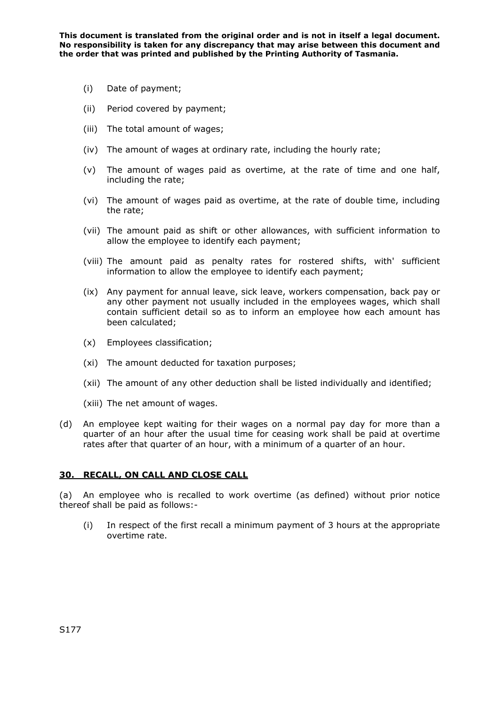- (i) Date of payment;
- (ii) Period covered by payment;
- (iii) The total amount of wages;
- (iv) The amount of wages at ordinary rate, including the hourly rate;
- (v) The amount of wages paid as overtime, at the rate of time and one half, including the rate;
- (vi) The amount of wages paid as overtime, at the rate of double time, including the rate;
- (vii) The amount paid as shift or other allowances, with sufficient information to allow the employee to identify each payment;
- (viii) The amount paid as penalty rates for rostered shifts, with' sufficient information to allow the employee to identify each payment;
- (ix) Any payment for annual leave, sick leave, workers compensation, back pay or any other payment not usually included in the employees wages, which shall contain sufficient detail so as to inform an employee how each amount has been calculated;
- (x) Employees classification;
- (xi) The amount deducted for taxation purposes;
- (xii) The amount of any other deduction shall be listed individually and identified;
- (xiii) The net amount of wages.
- (d) An employee kept waiting for their wages on a normal pay day for more than a quarter of an hour after the usual time for ceasing work shall be paid at overtime rates after that quarter of an hour, with a minimum of a quarter of an hour.

# **30. RECALL, ON CALL AND CLOSE CALL**

(a) An employee who is recalled to work overtime (as defined) without prior notice thereof shall be paid as follows:-

(i) In respect of the first recall a minimum payment of 3 hours at the appropriate overtime rate.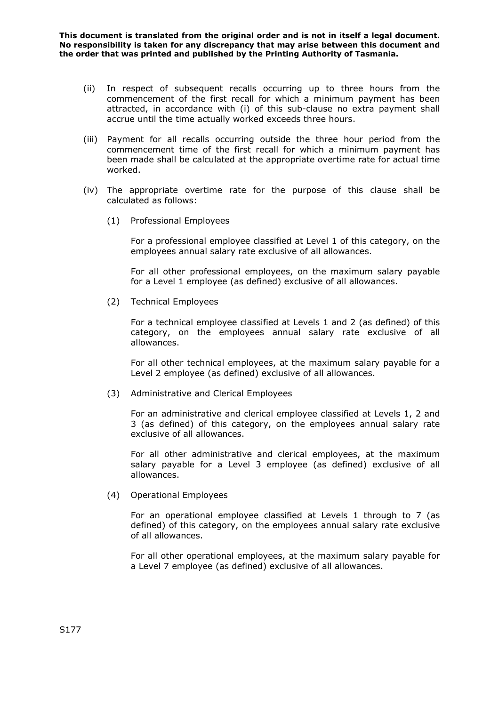- (ii) In respect of subsequent recalls occurring up to three hours from the commencement of the first recall for which a minimum payment has been attracted, in accordance with (i) of this sub-clause no extra payment shall accrue until the time actually worked exceeds three hours.
- (iii) Payment for all recalls occurring outside the three hour period from the commencement time of the first recall for which a minimum payment has been made shall be calculated at the appropriate overtime rate for actual time worked.
- (iv) The appropriate overtime rate for the purpose of this clause shall be calculated as follows:
	- (1) Professional Employees

For a professional employee classified at Level 1 of this category, on the employees annual salary rate exclusive of all allowances.

For all other professional employees, on the maximum salary payable for a Level 1 employee (as defined) exclusive of all allowances.

(2) Technical Employees

For a technical employee classified at Levels 1 and 2 (as defined) of this category, on the employees annual salary rate exclusive of all allowances.

For all other technical employees, at the maximum salary payable for a Level 2 employee (as defined) exclusive of all allowances.

(3) Administrative and Clerical Employees

For an administrative and clerical employee classified at Levels 1, 2 and 3 (as defined) of this category, on the employees annual salary rate exclusive of all allowances.

For all other administrative and clerical employees, at the maximum salary payable for a Level 3 employee (as defined) exclusive of all allowances.

(4) Operational Employees

For an operational employee classified at Levels 1 through to 7 (as defined) of this category, on the employees annual salary rate exclusive of all allowances.

For all other operational employees, at the maximum salary payable for a Level 7 employee (as defined) exclusive of all allowances.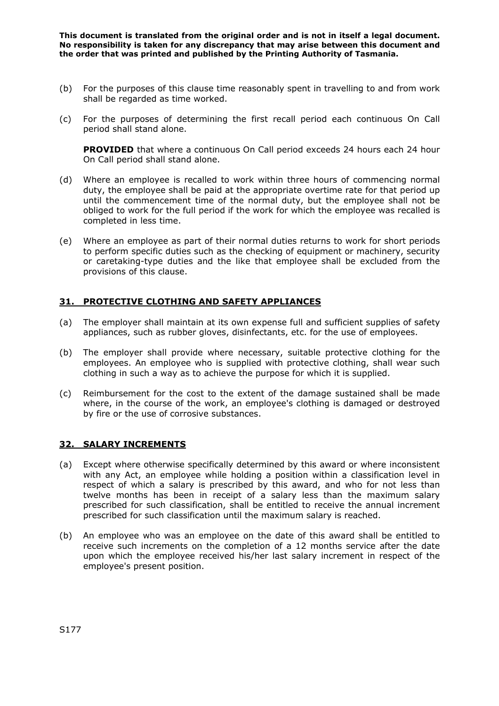- (b) For the purposes of this clause time reasonably spent in travelling to and from work shall be regarded as time worked.
- (c) For the purposes of determining the first recall period each continuous On Call period shall stand alone.

**PROVIDED** that where a continuous On Call period exceeds 24 hours each 24 hour On Call period shall stand alone.

- (d) Where an employee is recalled to work within three hours of commencing normal duty, the employee shall be paid at the appropriate overtime rate for that period up until the commencement time of the normal duty, but the employee shall not be obliged to work for the full period if the work for which the employee was recalled is completed in less time.
- (e) Where an employee as part of their normal duties returns to work for short periods to perform specific duties such as the checking of equipment or machinery, security or caretaking-type duties and the like that employee shall be excluded from the provisions of this clause.

## **31. PROTECTIVE CLOTHING AND SAFETY APPLIANCES**

- (a) The employer shall maintain at its own expense full and sufficient supplies of safety appliances, such as rubber gloves, disinfectants, etc. for the use of employees.
- (b) The employer shall provide where necessary, suitable protective clothing for the employees. An employee who is supplied with protective clothing, shall wear such clothing in such a way as to achieve the purpose for which it is supplied.
- (c) Reimbursement for the cost to the extent of the damage sustained shall be made where, in the course of the work, an employee's clothing is damaged or destroyed by fire or the use of corrosive substances.

### **32. SALARY INCREMENTS**

- (a) Except where otherwise specifically determined by this award or where inconsistent with any Act, an employee while holding a position within a classification level in respect of which a salary is prescribed by this award, and who for not less than twelve months has been in receipt of a salary less than the maximum salary prescribed for such classification, shall be entitled to receive the annual increment prescribed for such classification until the maximum salary is reached.
- (b) An employee who was an employee on the date of this award shall be entitled to receive such increments on the completion of a 12 months service after the date upon which the employee received his/her last salary increment in respect of the employee's present position.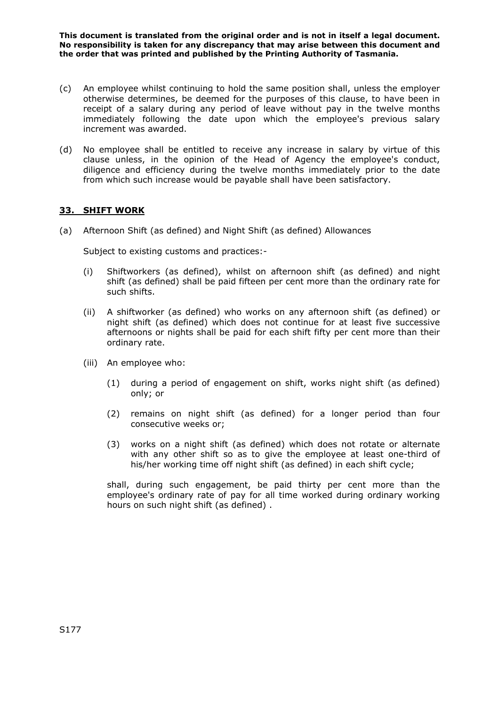- (c) An employee whilst continuing to hold the same position shall, unless the employer otherwise determines, be deemed for the purposes of this clause, to have been in receipt of a salary during any period of leave without pay in the twelve months immediately following the date upon which the employee's previous salary increment was awarded.
- (d) No employee shall be entitled to receive any increase in salary by virtue of this clause unless, in the opinion of the Head of Agency the employee's conduct, diligence and efficiency during the twelve months immediately prior to the date from which such increase would be payable shall have been satisfactory.

## **33. SHIFT WORK**

(a) Afternoon Shift (as defined) and Night Shift (as defined) Allowances

Subject to existing customs and practices:-

- (i) Shiftworkers (as defined), whilst on afternoon shift (as defined) and night shift (as defined) shall be paid fifteen per cent more than the ordinary rate for such shifts.
- (ii) A shiftworker (as defined) who works on any afternoon shift (as defined) or night shift (as defined) which does not continue for at least five successive afternoons or nights shall be paid for each shift fifty per cent more than their ordinary rate.
- (iii) An employee who:
	- (1) during a period of engagement on shift, works night shift (as defined) only; or
	- (2) remains on night shift (as defined) for a longer period than four consecutive weeks or;
	- (3) works on a night shift (as defined) which does not rotate or alternate with any other shift so as to give the employee at least one-third of his/her working time off night shift (as defined) in each shift cycle;

shall, during such engagement, be paid thirty per cent more than the employee's ordinary rate of pay for all time worked during ordinary working hours on such night shift (as defined) .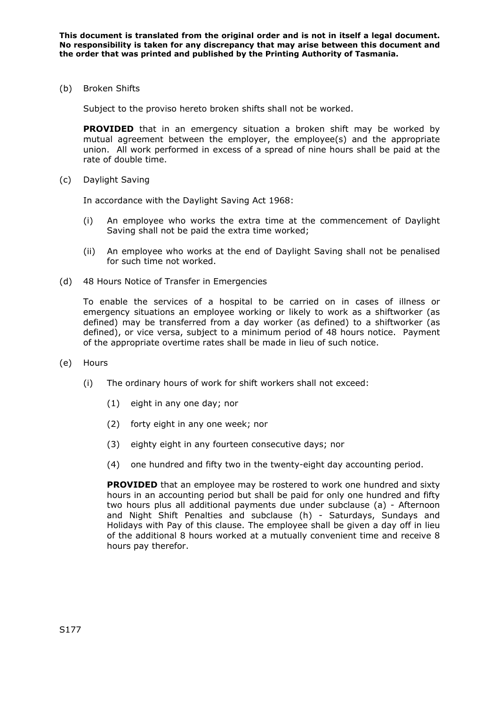(b) Broken Shifts

Subject to the proviso hereto broken shifts shall not be worked.

**PROVIDED** that in an emergency situation a broken shift may be worked by mutual agreement between the employer, the employee(s) and the appropriate union. All work performed in excess of a spread of nine hours shall be paid at the rate of double time.

(c) Daylight Saving

In accordance with the Daylight Saving Act 1968:

- (i) An employee who works the extra time at the commencement of Daylight Saving shall not be paid the extra time worked;
- (ii) An employee who works at the end of Daylight Saving shall not be penalised for such time not worked.
- (d) 48 Hours Notice of Transfer in Emergencies

To enable the services of a hospital to be carried on in cases of illness or emergency situations an employee working or likely to work as a shiftworker (as defined) may be transferred from a day worker (as defined) to a shiftworker (as defined), or vice versa, subject to a minimum period of 48 hours notice. Payment of the appropriate overtime rates shall be made in lieu of such notice.

- (e) Hours
	- (i) The ordinary hours of work for shift workers shall not exceed:
		- (1) eight in any one day; nor
		- (2) forty eight in any one week; nor
		- (3) eighty eight in any fourteen consecutive days; nor
		- (4) one hundred and fifty two in the twenty-eight day accounting period.

**PROVIDED** that an employee may be rostered to work one hundred and sixty hours in an accounting period but shall be paid for only one hundred and fifty two hours plus all additional payments due under subclause (a) - Afternoon and Night Shift Penalties and subclause (h) - Saturdays, Sundays and Holidays with Pay of this clause. The employee shall be given a day off in lieu of the additional 8 hours worked at a mutually convenient time and receive 8 hours pay therefor.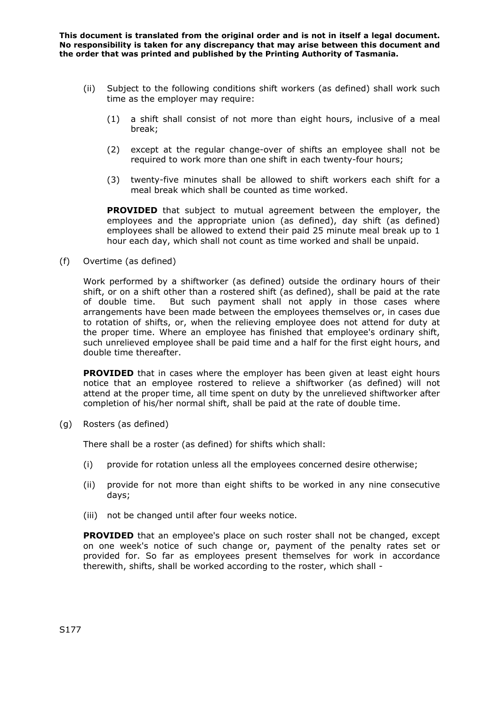- (ii) Subject to the following conditions shift workers (as defined) shall work such time as the employer may require:
	- (1) a shift shall consist of not more than eight hours, inclusive of a meal break;
	- (2) except at the regular change-over of shifts an employee shall not be required to work more than one shift in each twenty-four hours;
	- (3) twenty-five minutes shall be allowed to shift workers each shift for a meal break which shall be counted as time worked.

**PROVIDED** that subject to mutual agreement between the employer, the employees and the appropriate union (as defined), day shift (as defined) employees shall be allowed to extend their paid 25 minute meal break up to 1 hour each day, which shall not count as time worked and shall be unpaid.

(f) Overtime (as defined)

Work performed by a shiftworker (as defined) outside the ordinary hours of their shift, or on a shift other than a rostered shift (as defined), shall be paid at the rate of double time. But such payment shall not apply in those cases where arrangements have been made between the employees themselves or, in cases due to rotation of shifts, or, when the relieving employee does not attend for duty at the proper time. Where an employee has finished that employee's ordinary shift, such unrelieved employee shall be paid time and a half for the first eight hours, and double time thereafter.

**PROVIDED** that in cases where the employer has been given at least eight hours notice that an employee rostered to relieve a shiftworker (as defined) will not attend at the proper time, all time spent on duty by the unrelieved shiftworker after completion of his/her normal shift, shall be paid at the rate of double time.

(g) Rosters (as defined)

There shall be a roster (as defined) for shifts which shall:

- (i) provide for rotation unless all the employees concerned desire otherwise;
- (ii) provide for not more than eight shifts to be worked in any nine consecutive days;
- (iii) not be changed until after four weeks notice.

**PROVIDED** that an employee's place on such roster shall not be changed, except on one week's notice of such change or, payment of the penalty rates set or provided for. So far as employees present themselves for work in accordance therewith, shifts, shall be worked according to the roster, which shall -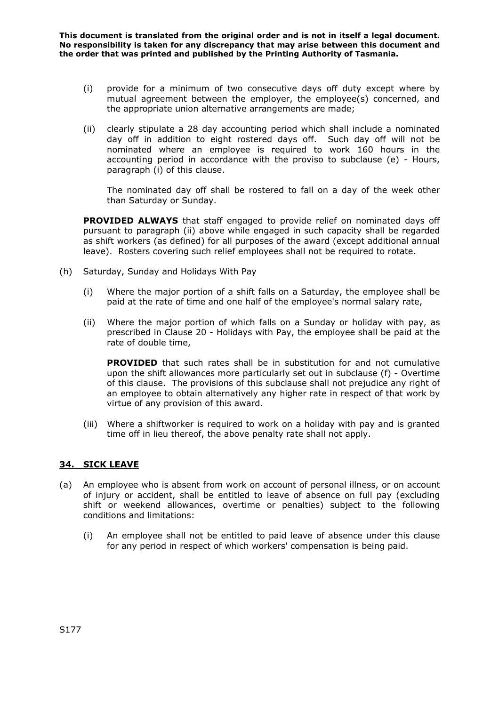- (i) provide for a minimum of two consecutive days off duty except where by mutual agreement between the employer, the employee(s) concerned, and the appropriate union alternative arrangements are made;
- (ii) clearly stipulate a 28 day accounting period which shall include a nominated day off in addition to eight rostered days off. Such day off will not be nominated where an employee is required to work 160 hours in the accounting period in accordance with the proviso to subclause (e) - Hours, paragraph (i) of this clause.

The nominated day off shall be rostered to fall on a day of the week other than Saturday or Sunday.

**PROVIDED ALWAYS** that staff engaged to provide relief on nominated days off pursuant to paragraph (ii) above while engaged in such capacity shall be regarded as shift workers (as defined) for all purposes of the award (except additional annual leave). Rosters covering such relief employees shall not be required to rotate.

- (h) Saturday, Sunday and Holidays With Pay
	- (i) Where the major portion of a shift falls on a Saturday, the employee shall be paid at the rate of time and one half of the employee's normal salary rate,
	- (ii) Where the major portion of which falls on a Sunday or holiday with pay, as prescribed in Clause 20 - Holidays with Pay, the employee shall be paid at the rate of double time,

**PROVIDED** that such rates shall be in substitution for and not cumulative upon the shift allowances more particularly set out in subclause (f) - Overtime of this clause. The provisions of this subclause shall not prejudice any right of an employee to obtain alternatively any higher rate in respect of that work by virtue of any provision of this award.

(iii) Where a shiftworker is required to work on a holiday with pay and is granted time off in lieu thereof, the above penalty rate shall not apply.

# **34. SICK LEAVE**

- (a) An employee who is absent from work on account of personal illness, or on account of injury or accident, shall be entitled to leave of absence on full pay (excluding shift or weekend allowances, overtime or penalties) subject to the following conditions and limitations:
	- (i) An employee shall not be entitled to paid leave of absence under this clause for any period in respect of which workers' compensation is being paid.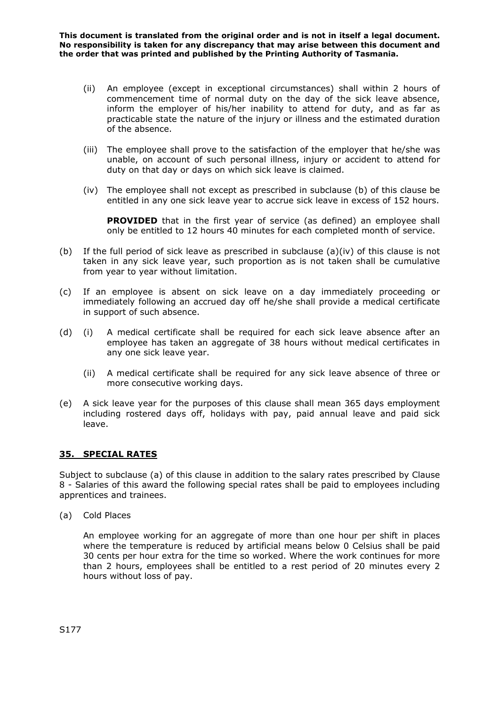- (ii) An employee (except in exceptional circumstances) shall within 2 hours of commencement time of normal duty on the day of the sick leave absence, inform the employer of his/her inability to attend for duty, and as far as practicable state the nature of the injury or illness and the estimated duration of the absence.
- (iii) The employee shall prove to the satisfaction of the employer that he/she was unable, on account of such personal illness, injury or accident to attend for duty on that day or days on which sick leave is claimed.
- (iv) The employee shall not except as prescribed in subclause (b) of this clause be entitled in any one sick leave year to accrue sick leave in excess of 152 hours.

**PROVIDED** that in the first year of service (as defined) an employee shall only be entitled to 12 hours 40 minutes for each completed month of service.

- (b) If the full period of sick leave as prescribed in subclause  $(a)(iv)$  of this clause is not taken in any sick leave year, such proportion as is not taken shall be cumulative from year to year without limitation.
- (c) If an employee is absent on sick leave on a day immediately proceeding or immediately following an accrued day off he/she shall provide a medical certificate in support of such absence.
- (d) (i) A medical certificate shall be required for each sick leave absence after an employee has taken an aggregate of 38 hours without medical certificates in any one sick leave year.
	- (ii) A medical certificate shall be required for any sick leave absence of three or more consecutive working days.
- (e) A sick leave year for the purposes of this clause shall mean 365 days employment including rostered days off, holidays with pay, paid annual leave and paid sick leave.

# **35. SPECIAL RATES**

Subject to subclause (a) of this clause in addition to the salary rates prescribed by Clause 8 - Salaries of this award the following special rates shall be paid to employees including apprentices and trainees.

(a) Cold Places

An employee working for an aggregate of more than one hour per shift in places where the temperature is reduced by artificial means below 0 Celsius shall be paid 30 cents per hour extra for the time so worked. Where the work continues for more than 2 hours, employees shall be entitled to a rest period of 20 minutes every 2 hours without loss of pay.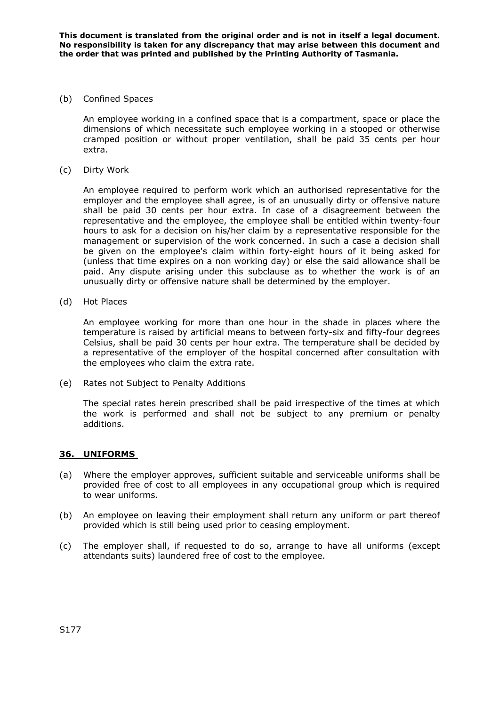### (b) Confined Spaces

An employee working in a confined space that is a compartment, space or place the dimensions of which necessitate such employee working in a stooped or otherwise cramped position or without proper ventilation, shall be paid 35 cents per hour extra.

(c) Dirty Work

An employee required to perform work which an authorised representative for the employer and the employee shall agree, is of an unusually dirty or offensive nature shall be paid 30 cents per hour extra. In case of a disagreement between the representative and the employee, the employee shall be entitled within twenty-four hours to ask for a decision on his/her claim by a representative responsible for the management or supervision of the work concerned. In such a case a decision shall be given on the employee's claim within forty-eight hours of it being asked for (unless that time expires on a non working day) or else the said allowance shall be paid. Any dispute arising under this subclause as to whether the work is of an unusually dirty or offensive nature shall be determined by the employer.

(d) Hot Places

An employee working for more than one hour in the shade in places where the temperature is raised by artificial means to between forty-six and fifty-four degrees Celsius, shall be paid 30 cents per hour extra. The temperature shall be decided by a representative of the employer of the hospital concerned after consultation with the employees who claim the extra rate.

(e) Rates not Subject to Penalty Additions

The special rates herein prescribed shall be paid irrespective of the times at which the work is performed and shall not be subject to any premium or penalty additions.

### **36. UNIFORMS**

- (a) Where the employer approves, sufficient suitable and serviceable uniforms shall be provided free of cost to all employees in any occupational group which is required to wear uniforms.
- (b) An employee on leaving their employment shall return any uniform or part thereof provided which is still being used prior to ceasing employment.
- (c) The employer shall, if requested to do so, arrange to have all uniforms (except attendants suits) laundered free of cost to the employee.